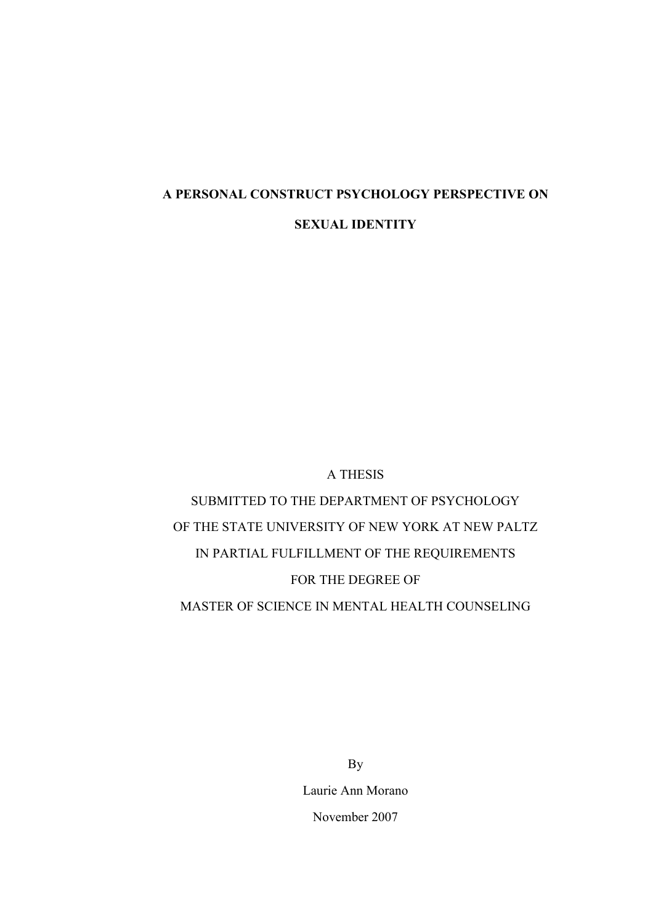# A PERSONAL CONSTRUCT PSYCHOLOGY PERSPECTIVE ON SEXUAL IDENTITY

# A THESIS

SUBMITTED TO THE DEPARTMENT OF PSYCHOLOGY OF THE STATE UNIVERSITY OF NEW YORK AT NEW PALTZ IN PARTIAL FULFILLMENT OF THE REQUIREMENTS FOR THE DEGREE OF MASTER OF SCIENCE IN MENTAL HEALTH COUNSELING

> By Laurie Ann Morano November 2007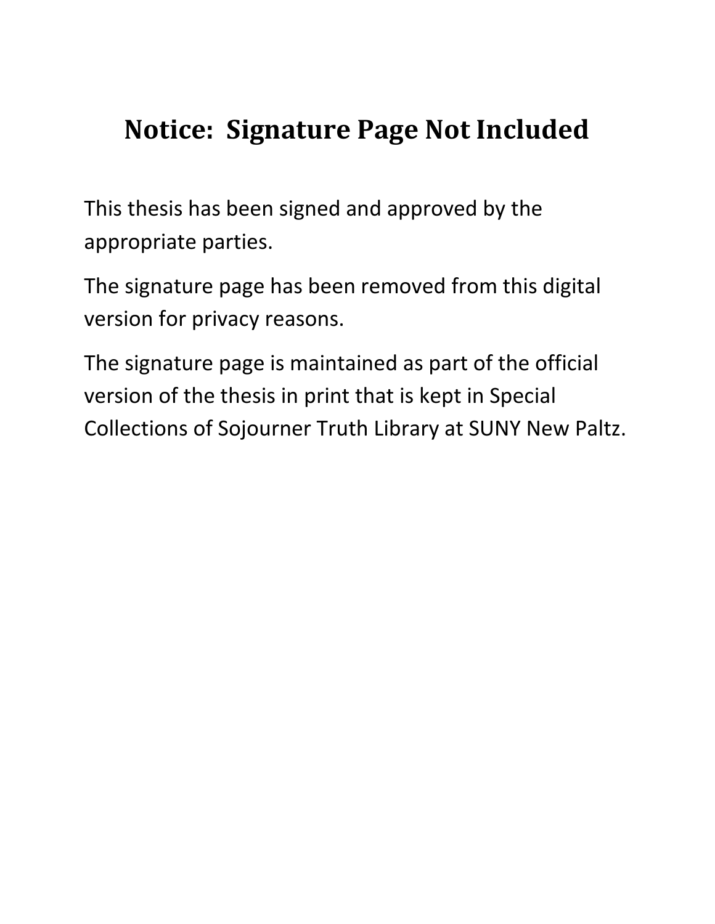# **Notice: Signature Page Not Included**

This thesis has been signed and approved by the appropriate parties.

The signature page has been removed from this digital version for privacy reasons.

The signature page is maintained as part of the official version of the thesis in print that is kept in Special Collections of Sojourner Truth Library at SUNY New Paltz.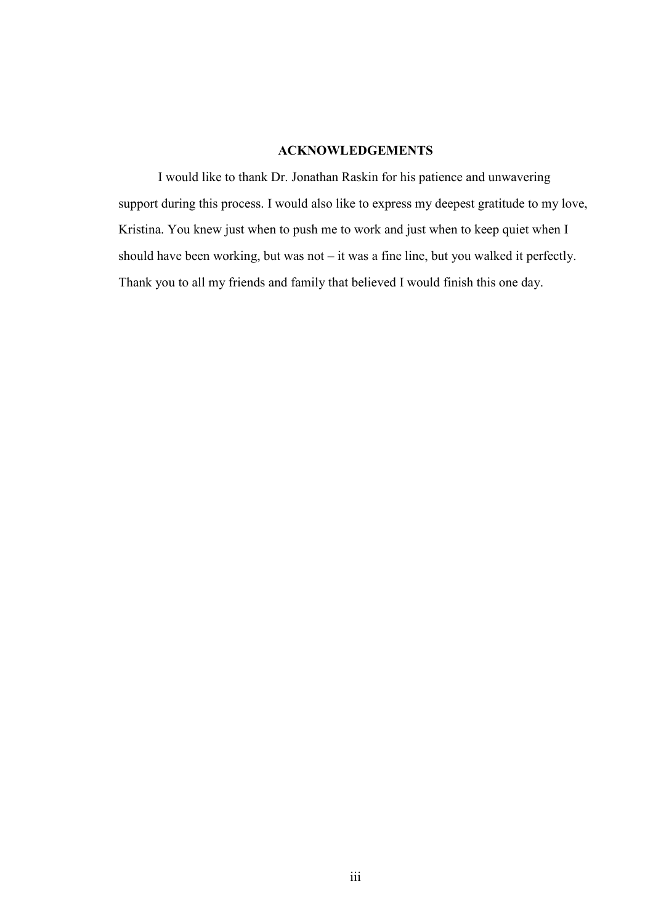# ACKNOWLEDGEMENTS

I would like to thank Dr. Jonathan Raskin for his patience and unwavering support during this process. I would also like to express my deepest gratitude to my love, Kristina. You knew just when to push me to work and just when to keep quiet when I should have been working, but was not – it was a fine line, but you walked it perfectly. Thank you to all my friends and family that believed I would finish this one day.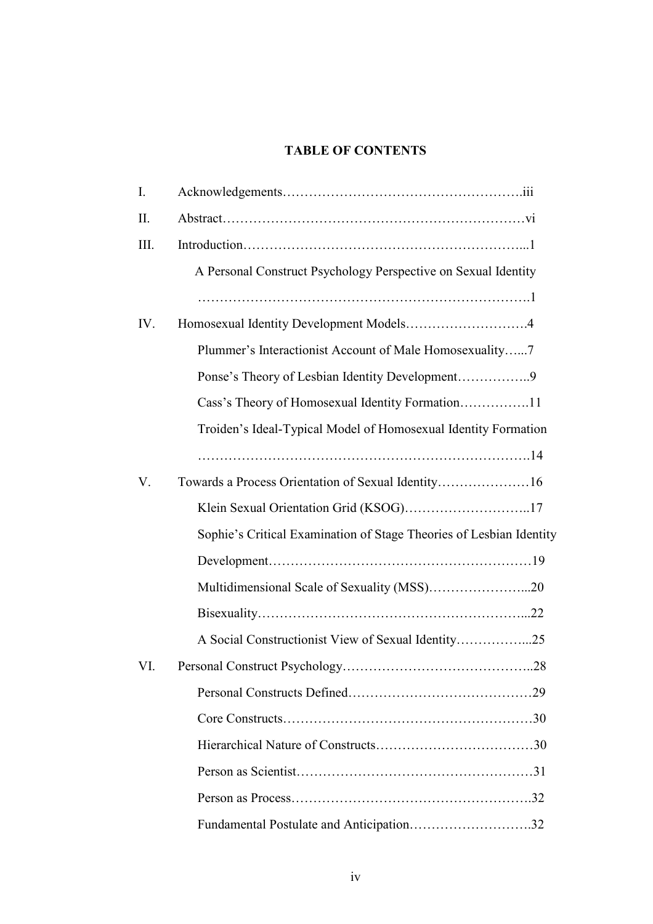# TABLE OF CONTENTS

| I.  |                                                                     |
|-----|---------------------------------------------------------------------|
| П.  |                                                                     |
| Ш.  |                                                                     |
|     | A Personal Construct Psychology Perspective on Sexual Identity      |
|     |                                                                     |
| IV. | Homosexual Identity Development Models4                             |
|     | Plummer's Interactionist Account of Male Homosexuality7             |
|     |                                                                     |
|     |                                                                     |
|     | Troiden's Ideal-Typical Model of Homosexual Identity Formation      |
|     |                                                                     |
| V.  |                                                                     |
|     |                                                                     |
|     | Sophie's Critical Examination of Stage Theories of Lesbian Identity |
|     |                                                                     |
|     |                                                                     |
|     |                                                                     |
|     |                                                                     |
| VI. |                                                                     |
|     |                                                                     |
|     |                                                                     |
|     |                                                                     |
|     |                                                                     |
|     |                                                                     |
|     | Fundamental Postulate and Anticipation32                            |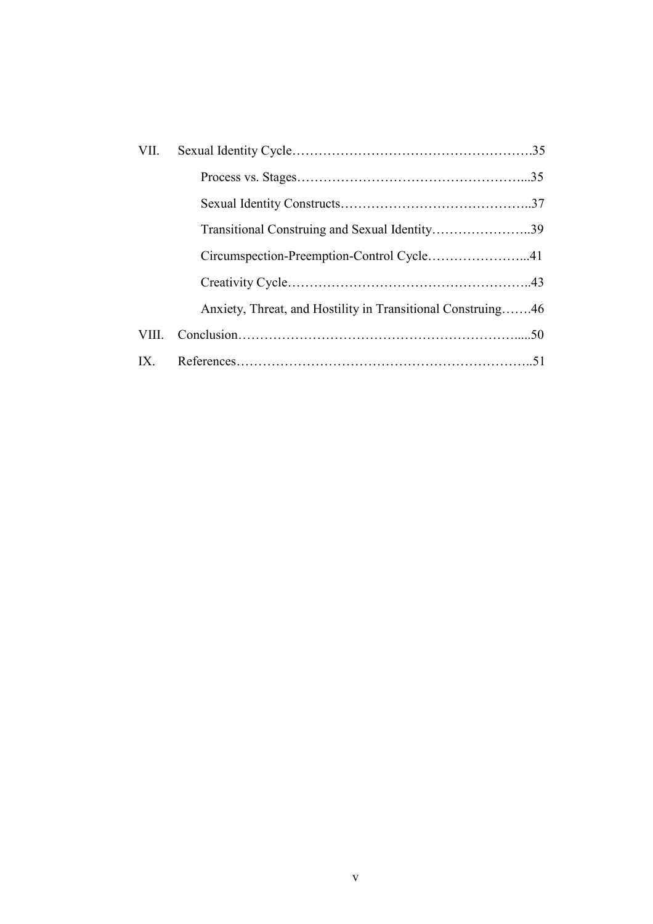| VII.  |                                                             |  |
|-------|-------------------------------------------------------------|--|
|       |                                                             |  |
|       |                                                             |  |
|       | Transitional Construing and Sexual Identity39               |  |
|       | Circumspection-Preemption-Control Cycle41                   |  |
|       |                                                             |  |
|       | Anxiety, Threat, and Hostility in Transitional Construing46 |  |
| VIII. |                                                             |  |
| IX.   |                                                             |  |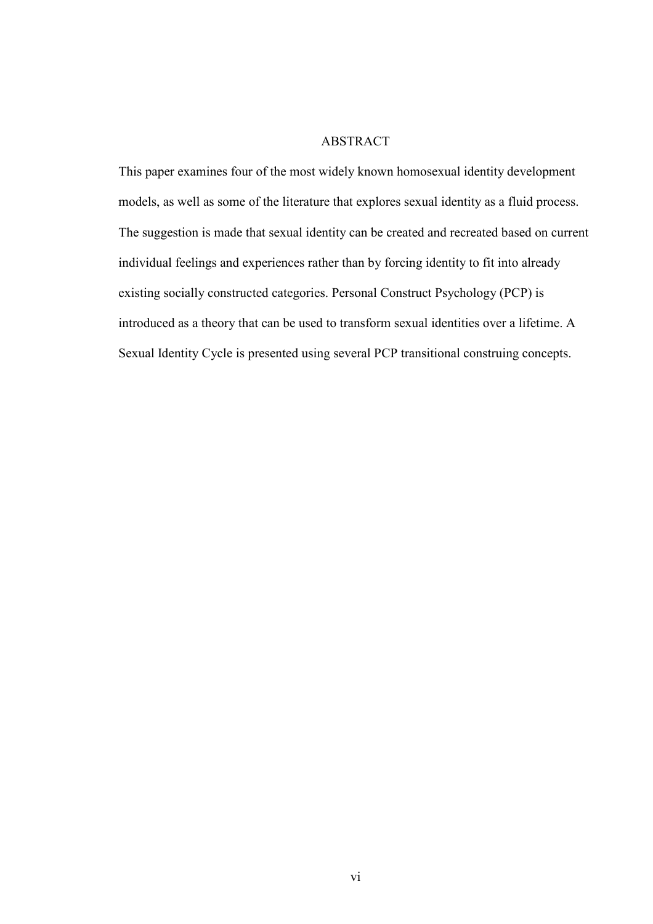# ABSTRACT

This paper examines four of the most widely known homosexual identity development models, as well as some of the literature that explores sexual identity as a fluid process. The suggestion is made that sexual identity can be created and recreated based on current individual feelings and experiences rather than by forcing identity to fit into already existing socially constructed categories. Personal Construct Psychology (PCP) is introduced as a theory that can be used to transform sexual identities over a lifetime. A Sexual Identity Cycle is presented using several PCP transitional construing concepts.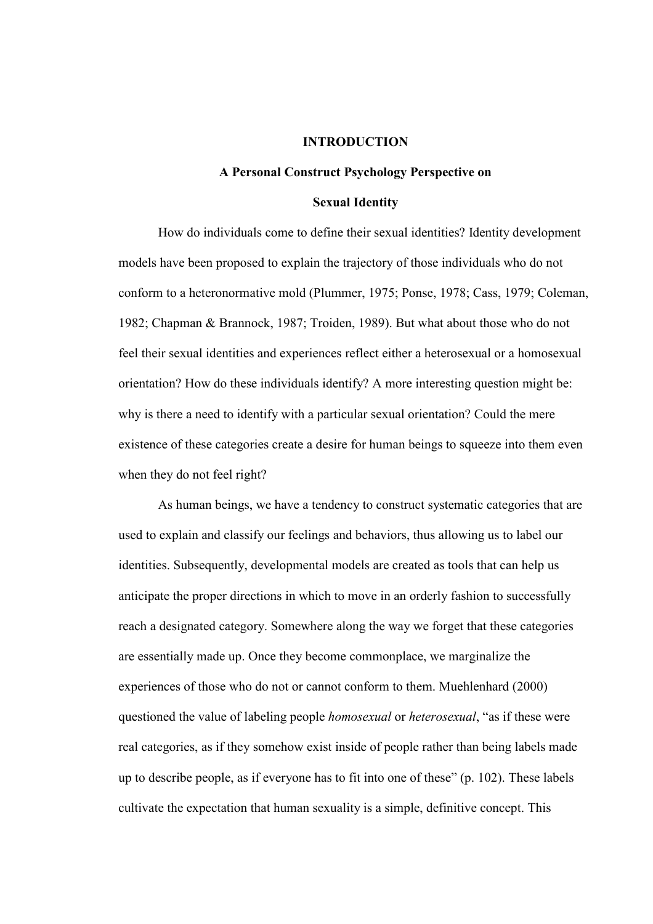#### INTRODUCTION

# A Personal Construct Psychology Perspective on Sexual Identity

 How do individuals come to define their sexual identities? Identity development models have been proposed to explain the trajectory of those individuals who do not conform to a heteronormative mold (Plummer, 1975; Ponse, 1978; Cass, 1979; Coleman, 1982; Chapman & Brannock, 1987; Troiden, 1989). But what about those who do not feel their sexual identities and experiences reflect either a heterosexual or a homosexual orientation? How do these individuals identify? A more interesting question might be: why is there a need to identify with a particular sexual orientation? Could the mere existence of these categories create a desire for human beings to squeeze into them even when they do not feel right?

 As human beings, we have a tendency to construct systematic categories that are used to explain and classify our feelings and behaviors, thus allowing us to label our identities. Subsequently, developmental models are created as tools that can help us anticipate the proper directions in which to move in an orderly fashion to successfully reach a designated category. Somewhere along the way we forget that these categories are essentially made up. Once they become commonplace, we marginalize the experiences of those who do not or cannot conform to them. Muehlenhard (2000) questioned the value of labeling people *homosexual* or *heterosexual*, "as if these were real categories, as if they somehow exist inside of people rather than being labels made up to describe people, as if everyone has to fit into one of these" (p. 102). These labels cultivate the expectation that human sexuality is a simple, definitive concept. This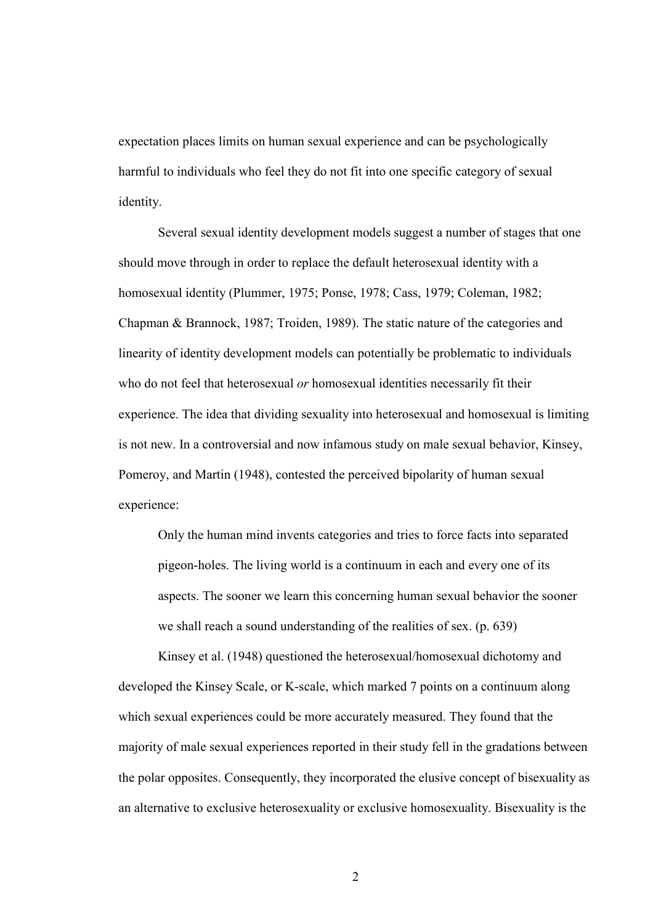expectation places limits on human sexual experience and can be psychologically harmful to individuals who feel they do not fit into one specific category of sexual identity.

 Several sexual identity development models suggest a number of stages that one should move through in order to replace the default heterosexual identity with a homosexual identity (Plummer, 1975; Ponse, 1978; Cass, 1979; Coleman, 1982; Chapman & Brannock, 1987; Troiden, 1989). The static nature of the categories and linearity of identity development models can potentially be problematic to individuals who do not feel that heterosexual *or* homosexual identities necessarily fit their experience. The idea that dividing sexuality into heterosexual and homosexual is limiting is not new. In a controversial and now infamous study on male sexual behavior, Kinsey, Pomeroy, and Martin (1948), contested the perceived bipolarity of human sexual experience:

 Only the human mind invents categories and tries to force facts into separated pigeon-holes. The living world is a continuum in each and every one of its aspects. The sooner we learn this concerning human sexual behavior the sooner we shall reach a sound understanding of the realities of sex. (p. 639)

 Kinsey et al. (1948) questioned the heterosexual/homosexual dichotomy and developed the Kinsey Scale, or K-scale, which marked 7 points on a continuum along which sexual experiences could be more accurately measured. They found that the majority of male sexual experiences reported in their study fell in the gradations between the polar opposites. Consequently, they incorporated the elusive concept of bisexuality as an alternative to exclusive heterosexuality or exclusive homosexuality. Bisexuality is the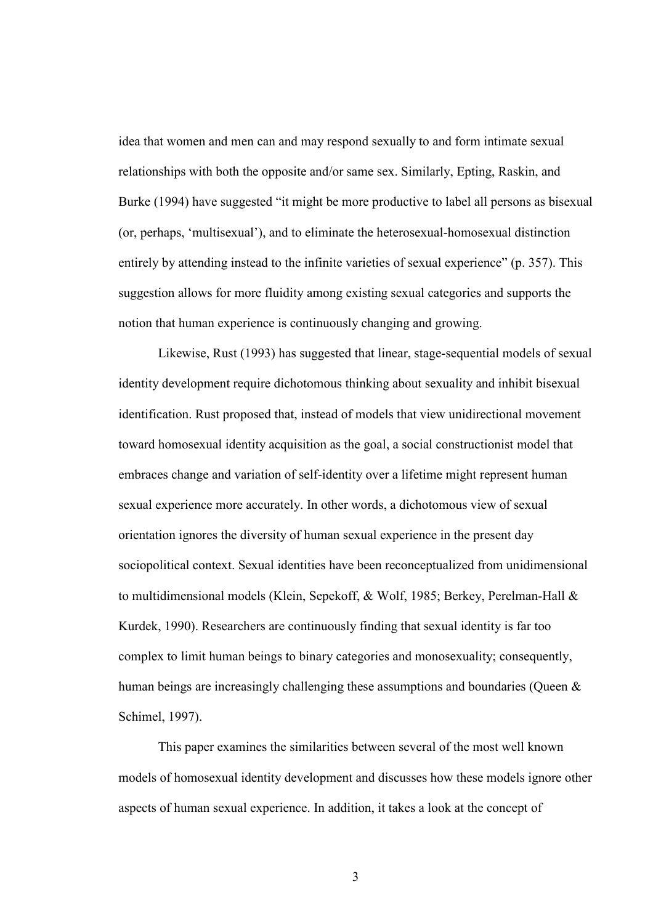idea that women and men can and may respond sexually to and form intimate sexual relationships with both the opposite and/or same sex. Similarly, Epting, Raskin, and Burke (1994) have suggested "it might be more productive to label all persons as bisexual (or, perhaps, 'multisexual'), and to eliminate the heterosexual-homosexual distinction entirely by attending instead to the infinite varieties of sexual experience" (p. 357). This suggestion allows for more fluidity among existing sexual categories and supports the notion that human experience is continuously changing and growing.

 Likewise, Rust (1993) has suggested that linear, stage-sequential models of sexual identity development require dichotomous thinking about sexuality and inhibit bisexual identification. Rust proposed that, instead of models that view unidirectional movement toward homosexual identity acquisition as the goal, a social constructionist model that embraces change and variation of self-identity over a lifetime might represent human sexual experience more accurately. In other words, a dichotomous view of sexual orientation ignores the diversity of human sexual experience in the present day sociopolitical context. Sexual identities have been reconceptualized from unidimensional to multidimensional models (Klein, Sepekoff, & Wolf, 1985; Berkey, Perelman-Hall & Kurdek, 1990). Researchers are continuously finding that sexual identity is far too complex to limit human beings to binary categories and monosexuality; consequently, human beings are increasingly challenging these assumptions and boundaries (Queen & Schimel, 1997).

 This paper examines the similarities between several of the most well known models of homosexual identity development and discusses how these models ignore other aspects of human sexual experience. In addition, it takes a look at the concept of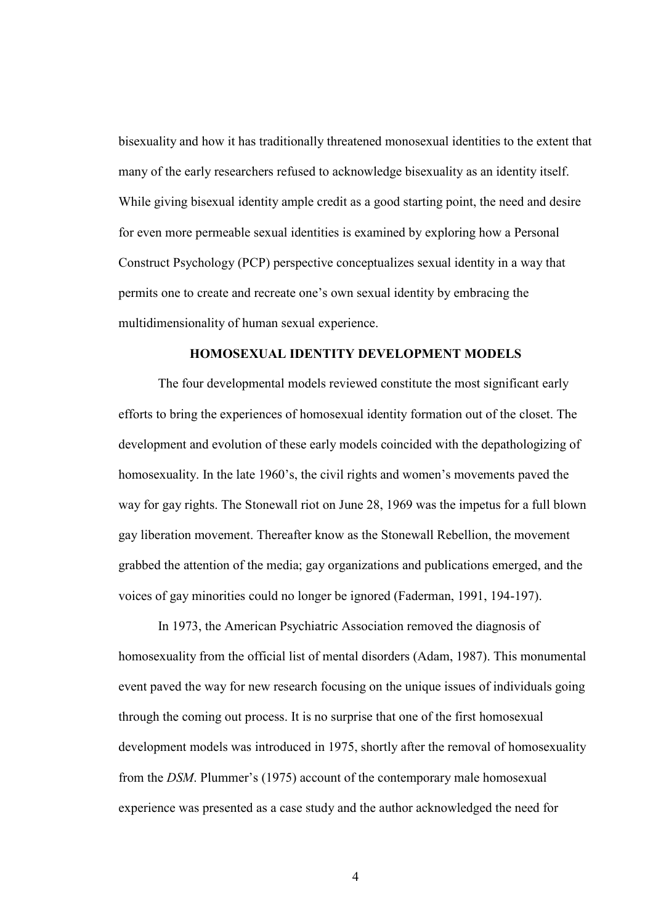bisexuality and how it has traditionally threatened monosexual identities to the extent that many of the early researchers refused to acknowledge bisexuality as an identity itself. While giving bisexual identity ample credit as a good starting point, the need and desire for even more permeable sexual identities is examined by exploring how a Personal Construct Psychology (PCP) perspective conceptualizes sexual identity in a way that permits one to create and recreate one's own sexual identity by embracing the multidimensionality of human sexual experience.

#### HOMOSEXUAL IDENTITY DEVELOPMENT MODELS

 The four developmental models reviewed constitute the most significant early efforts to bring the experiences of homosexual identity formation out of the closet. The development and evolution of these early models coincided with the depathologizing of homosexuality. In the late 1960's, the civil rights and women's movements paved the way for gay rights. The Stonewall riot on June 28, 1969 was the impetus for a full blown gay liberation movement. Thereafter know as the Stonewall Rebellion, the movement grabbed the attention of the media; gay organizations and publications emerged, and the voices of gay minorities could no longer be ignored (Faderman, 1991, 194-197).

 In 1973, the American Psychiatric Association removed the diagnosis of homosexuality from the official list of mental disorders (Adam, 1987). This monumental event paved the way for new research focusing on the unique issues of individuals going through the coming out process. It is no surprise that one of the first homosexual development models was introduced in 1975, shortly after the removal of homosexuality from the *DSM*. Plummer's (1975) account of the contemporary male homosexual experience was presented as a case study and the author acknowledged the need for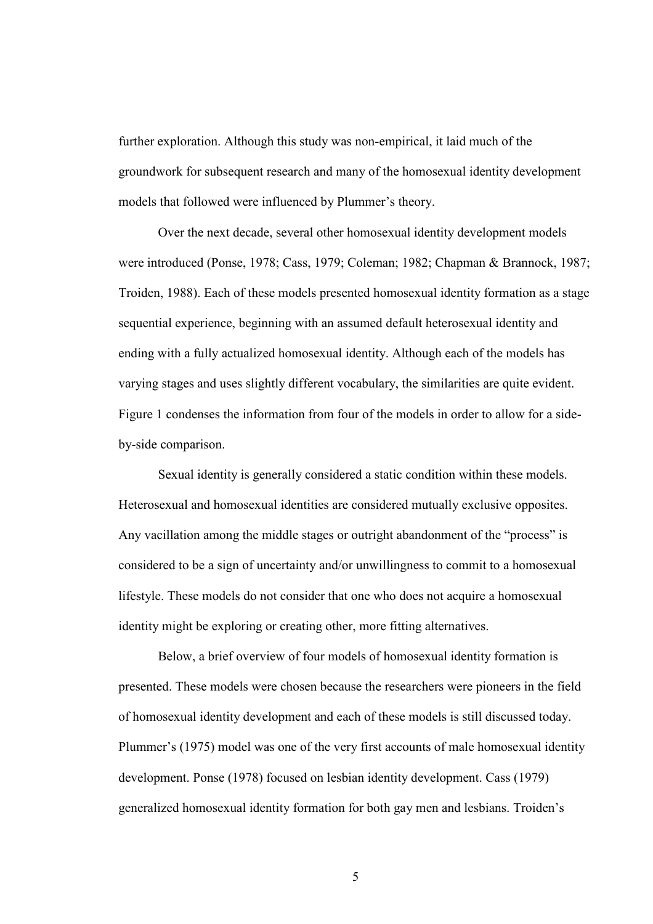further exploration. Although this study was non-empirical, it laid much of the groundwork for subsequent research and many of the homosexual identity development models that followed were influenced by Plummer's theory.

 Over the next decade, several other homosexual identity development models were introduced (Ponse, 1978; Cass, 1979; Coleman; 1982; Chapman & Brannock, 1987; Troiden, 1988). Each of these models presented homosexual identity formation as a stage sequential experience, beginning with an assumed default heterosexual identity and ending with a fully actualized homosexual identity. Although each of the models has varying stages and uses slightly different vocabulary, the similarities are quite evident. Figure 1 condenses the information from four of the models in order to allow for a sideby-side comparison.

 Sexual identity is generally considered a static condition within these models. Heterosexual and homosexual identities are considered mutually exclusive opposites. Any vacillation among the middle stages or outright abandonment of the "process" is considered to be a sign of uncertainty and/or unwillingness to commit to a homosexual lifestyle. These models do not consider that one who does not acquire a homosexual identity might be exploring or creating other, more fitting alternatives.

 Below, a brief overview of four models of homosexual identity formation is presented. These models were chosen because the researchers were pioneers in the field of homosexual identity development and each of these models is still discussed today. Plummer's (1975) model was one of the very first accounts of male homosexual identity development. Ponse (1978) focused on lesbian identity development. Cass (1979) generalized homosexual identity formation for both gay men and lesbians. Troiden's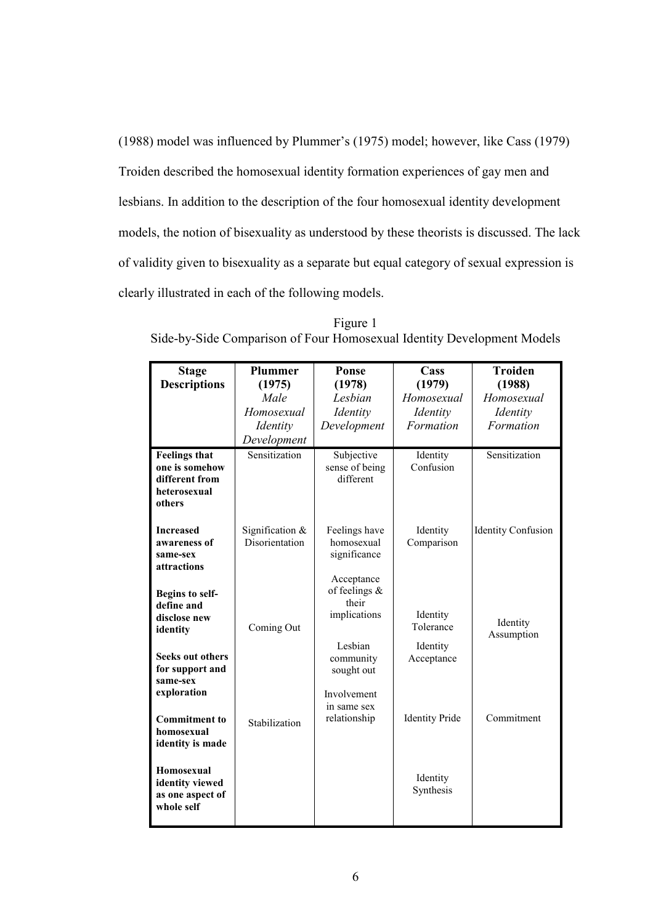(1988) model was influenced by Plummer's (1975) model; however, like Cass (1979) Troiden described the homosexual identity formation experiences of gay men and lesbians. In addition to the description of the four homosexual identity development models, the notion of bisexuality as understood by these theorists is discussed. The lack of validity given to bisexuality as a separate but equal category of sexual expression is clearly illustrated in each of the following models.

| <b>Stage</b><br><b>Descriptions</b> | <b>Plummer</b><br>(1975) | Ponse<br>(1978)             | Cass<br>(1979)        | <b>Troiden</b><br>(1988)  |
|-------------------------------------|--------------------------|-----------------------------|-----------------------|---------------------------|
|                                     | Male                     | Lesbian                     | Homosexual            | Homosexual                |
|                                     | Homosexual               |                             |                       |                           |
|                                     |                          | Identity                    | Identity              | Identity                  |
|                                     | <i>Identity</i>          | Development                 | Formation             | Formation                 |
|                                     | Development              |                             |                       |                           |
| <b>Feelings that</b>                | Sensitization            | Subjective                  | Identity              | Sensitization             |
| one is somehow<br>different from    |                          | sense of being<br>different | Confusion             |                           |
| heterosexual                        |                          |                             |                       |                           |
| others                              |                          |                             |                       |                           |
|                                     |                          |                             |                       |                           |
| <b>Increased</b>                    | Signification $&$        | Feelings have               | Identity              | <b>Identity Confusion</b> |
| awareness of                        | Disorientation           | homosexual                  | Comparison            |                           |
| same-sex                            |                          | significance                |                       |                           |
| attractions                         |                          |                             |                       |                           |
|                                     |                          | Acceptance                  |                       |                           |
| Begins to self-                     |                          | of feelings $\&$<br>their   |                       |                           |
| define and                          |                          | implications                | Identity              |                           |
| disclose new                        | Coming Out               |                             | Tolerance             | Identity                  |
| identity                            |                          |                             |                       | Assumption                |
| <b>Seeks out others</b>             |                          | Lesbian                     | Identity              |                           |
| for support and                     |                          | community                   | Acceptance            |                           |
| same-sex                            |                          | sought out                  |                       |                           |
| exploration                         |                          | Involvement                 |                       |                           |
|                                     |                          | in same sex                 |                       |                           |
| <b>Commitment</b> to                | Stabilization            | relationship                | <b>Identity Pride</b> | Commitment                |
| homosexual                          |                          |                             |                       |                           |
| identity is made                    |                          |                             |                       |                           |
|                                     |                          |                             |                       |                           |
| Homosexual                          |                          |                             | Identity              |                           |
| identity viewed                     |                          |                             | Synthesis             |                           |
| as one aspect of<br>whole self      |                          |                             |                       |                           |
|                                     |                          |                             |                       |                           |
|                                     |                          |                             |                       |                           |

Figure 1 Side-by-Side Comparison of Four Homosexual Identity Development Models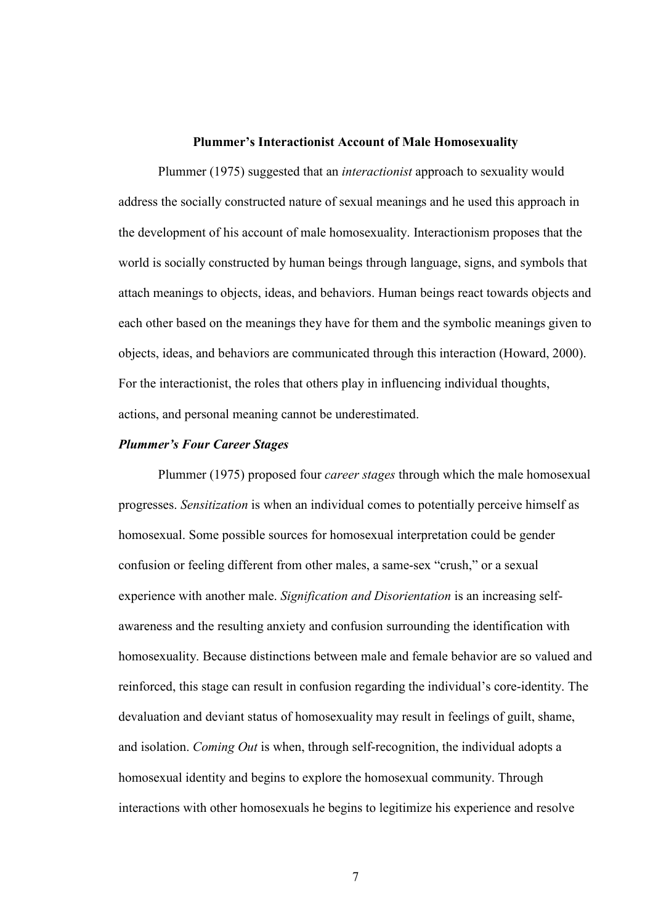#### Plummer's Interactionist Account of Male Homosexuality

 Plummer (1975) suggested that an *interactionist* approach to sexuality would address the socially constructed nature of sexual meanings and he used this approach in the development of his account of male homosexuality. Interactionism proposes that the world is socially constructed by human beings through language, signs, and symbols that attach meanings to objects, ideas, and behaviors. Human beings react towards objects and each other based on the meanings they have for them and the symbolic meanings given to objects, ideas, and behaviors are communicated through this interaction (Howard, 2000). For the interactionist, the roles that others play in influencing individual thoughts, actions, and personal meaning cannot be underestimated.

#### Plummer's Four Career Stages

 Plummer (1975) proposed four *career stages* through which the male homosexual progresses. *Sensitization* is when an individual comes to potentially perceive himself as homosexual. Some possible sources for homosexual interpretation could be gender confusion or feeling different from other males, a same-sex "crush," or a sexual experience with another male. *Signification and Disorientation* is an increasing selfawareness and the resulting anxiety and confusion surrounding the identification with homosexuality. Because distinctions between male and female behavior are so valued and reinforced, this stage can result in confusion regarding the individual's core-identity. The devaluation and deviant status of homosexuality may result in feelings of guilt, shame, and isolation. *Coming Out* is when, through self-recognition, the individual adopts a homosexual identity and begins to explore the homosexual community. Through interactions with other homosexuals he begins to legitimize his experience and resolve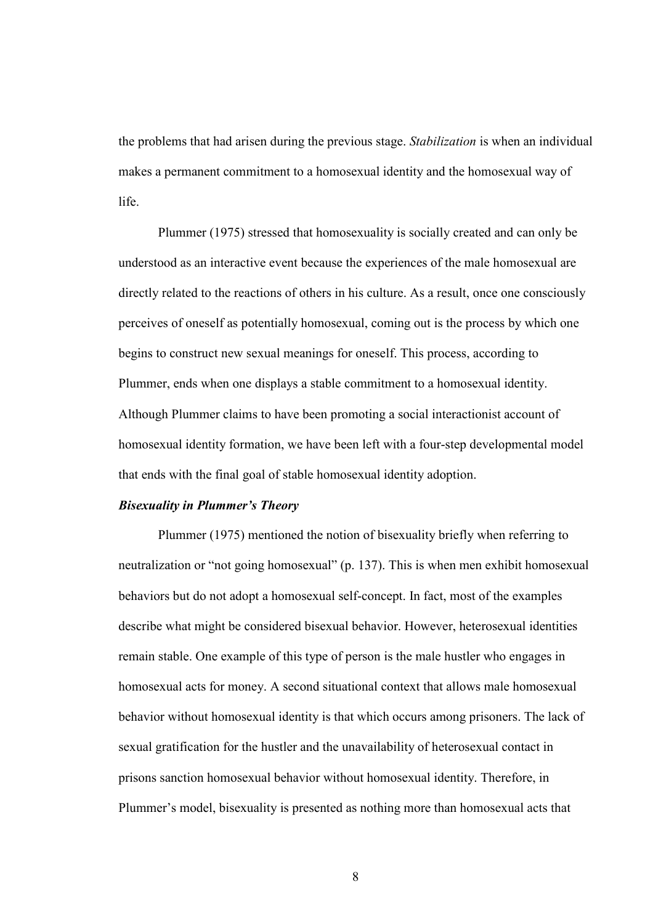the problems that had arisen during the previous stage. *Stabilization* is when an individual makes a permanent commitment to a homosexual identity and the homosexual way of life.

 Plummer (1975) stressed that homosexuality is socially created and can only be understood as an interactive event because the experiences of the male homosexual are directly related to the reactions of others in his culture. As a result, once one consciously perceives of oneself as potentially homosexual, coming out is the process by which one begins to construct new sexual meanings for oneself. This process, according to Plummer, ends when one displays a stable commitment to a homosexual identity. Although Plummer claims to have been promoting a social interactionist account of homosexual identity formation, we have been left with a four-step developmental model that ends with the final goal of stable homosexual identity adoption.

#### Bisexuality in Plummer's Theory

 Plummer (1975) mentioned the notion of bisexuality briefly when referring to neutralization or "not going homosexual" (p. 137). This is when men exhibit homosexual behaviors but do not adopt a homosexual self-concept. In fact, most of the examples describe what might be considered bisexual behavior. However, heterosexual identities remain stable. One example of this type of person is the male hustler who engages in homosexual acts for money. A second situational context that allows male homosexual behavior without homosexual identity is that which occurs among prisoners. The lack of sexual gratification for the hustler and the unavailability of heterosexual contact in prisons sanction homosexual behavior without homosexual identity. Therefore, in Plummer's model, bisexuality is presented as nothing more than homosexual acts that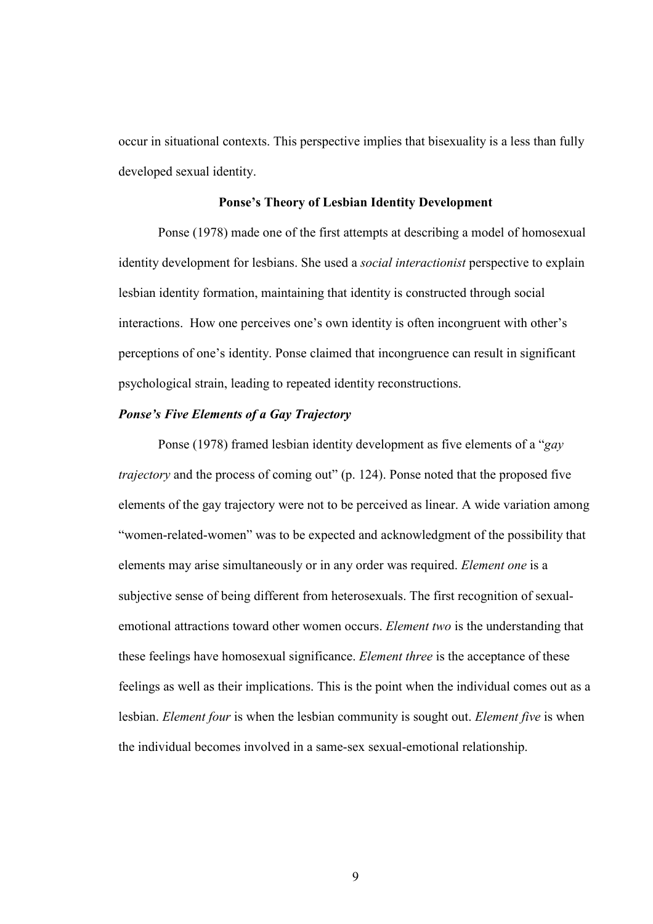occur in situational contexts. This perspective implies that bisexuality is a less than fully developed sexual identity.

# Ponse's Theory of Lesbian Identity Development

 Ponse (1978) made one of the first attempts at describing a model of homosexual identity development for lesbians. She used a *social interactionist* perspective to explain lesbian identity formation, maintaining that identity is constructed through social interactions. How one perceives one's own identity is often incongruent with other's perceptions of one's identity. Ponse claimed that incongruence can result in significant psychological strain, leading to repeated identity reconstructions.

#### Ponse's Five Elements of a Gay Trajectory

 Ponse (1978) framed lesbian identity development as five elements of a "*gay trajectory* and the process of coming out" (p. 124). Ponse noted that the proposed five elements of the gay trajectory were not to be perceived as linear. A wide variation among "women-related-women" was to be expected and acknowledgment of the possibility that elements may arise simultaneously or in any order was required. *Element one* is a subjective sense of being different from heterosexuals. The first recognition of sexualemotional attractions toward other women occurs. *Element two* is the understanding that these feelings have homosexual significance. *Element three* is the acceptance of these feelings as well as their implications. This is the point when the individual comes out as a lesbian. *Element four* is when the lesbian community is sought out. *Element five* is when the individual becomes involved in a same-sex sexual-emotional relationship.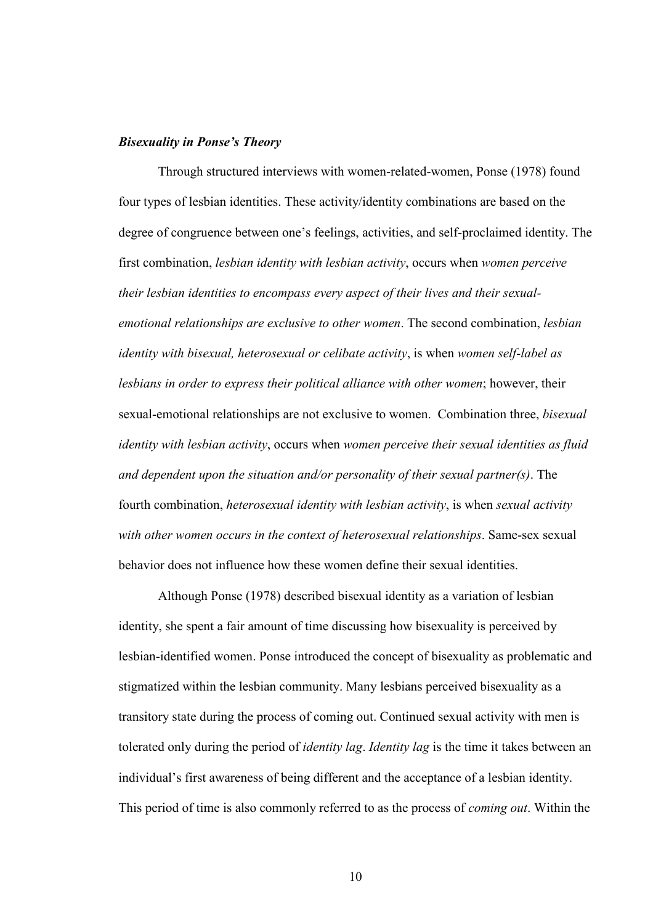#### Bisexuality in Ponse's Theory

 Through structured interviews with women-related-women, Ponse (1978) found four types of lesbian identities. These activity/identity combinations are based on the degree of congruence between one's feelings, activities, and self-proclaimed identity. The first combination, *lesbian identity with lesbian activity*, occurs when *women perceive their lesbian identities to encompass every aspect of their lives and their sexualemotional relationships are exclusive to other women*. The second combination, *lesbian identity with bisexual, heterosexual or celibate activity*, is when *women self-label as lesbians in order to express their political alliance with other women*; however, their sexual-emotional relationships are not exclusive to women. Combination three, *bisexual identity with lesbian activity*, occurs when *women perceive their sexual identities as fluid and dependent upon the situation and/or personality of their sexual partner(s)*. The fourth combination, *heterosexual identity with lesbian activity*, is when *sexual activity with other women occurs in the context of heterosexual relationships*. Same-sex sexual behavior does not influence how these women define their sexual identities.

 Although Ponse (1978) described bisexual identity as a variation of lesbian identity, she spent a fair amount of time discussing how bisexuality is perceived by lesbian-identified women. Ponse introduced the concept of bisexuality as problematic and stigmatized within the lesbian community. Many lesbians perceived bisexuality as a transitory state during the process of coming out. Continued sexual activity with men is tolerated only during the period of *identity lag*. *Identity lag* is the time it takes between an individual's first awareness of being different and the acceptance of a lesbian identity. This period of time is also commonly referred to as the process of *coming out*. Within the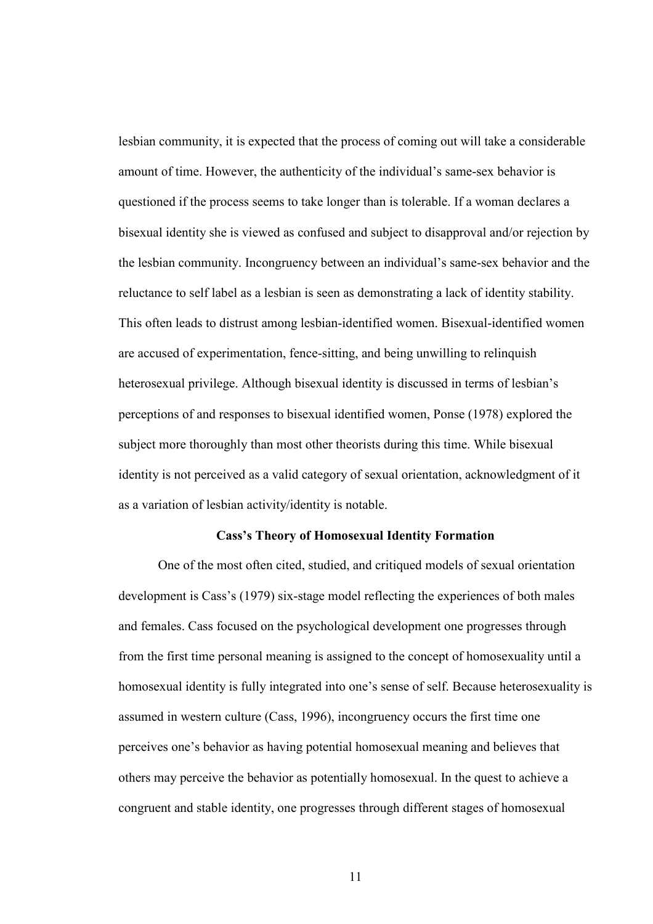lesbian community, it is expected that the process of coming out will take a considerable amount of time. However, the authenticity of the individual's same-sex behavior is questioned if the process seems to take longer than is tolerable. If a woman declares a bisexual identity she is viewed as confused and subject to disapproval and/or rejection by the lesbian community. Incongruency between an individual's same-sex behavior and the reluctance to self label as a lesbian is seen as demonstrating a lack of identity stability. This often leads to distrust among lesbian-identified women. Bisexual-identified women are accused of experimentation, fence-sitting, and being unwilling to relinquish heterosexual privilege. Although bisexual identity is discussed in terms of lesbian's perceptions of and responses to bisexual identified women, Ponse (1978) explored the subject more thoroughly than most other theorists during this time. While bisexual identity is not perceived as a valid category of sexual orientation, acknowledgment of it as a variation of lesbian activity/identity is notable.

#### Cass's Theory of Homosexual Identity Formation

 One of the most often cited, studied, and critiqued models of sexual orientation development is Cass's (1979) six-stage model reflecting the experiences of both males and females. Cass focused on the psychological development one progresses through from the first time personal meaning is assigned to the concept of homosexuality until a homosexual identity is fully integrated into one's sense of self. Because heterosexuality is assumed in western culture (Cass, 1996), incongruency occurs the first time one perceives one's behavior as having potential homosexual meaning and believes that others may perceive the behavior as potentially homosexual. In the quest to achieve a congruent and stable identity, one progresses through different stages of homosexual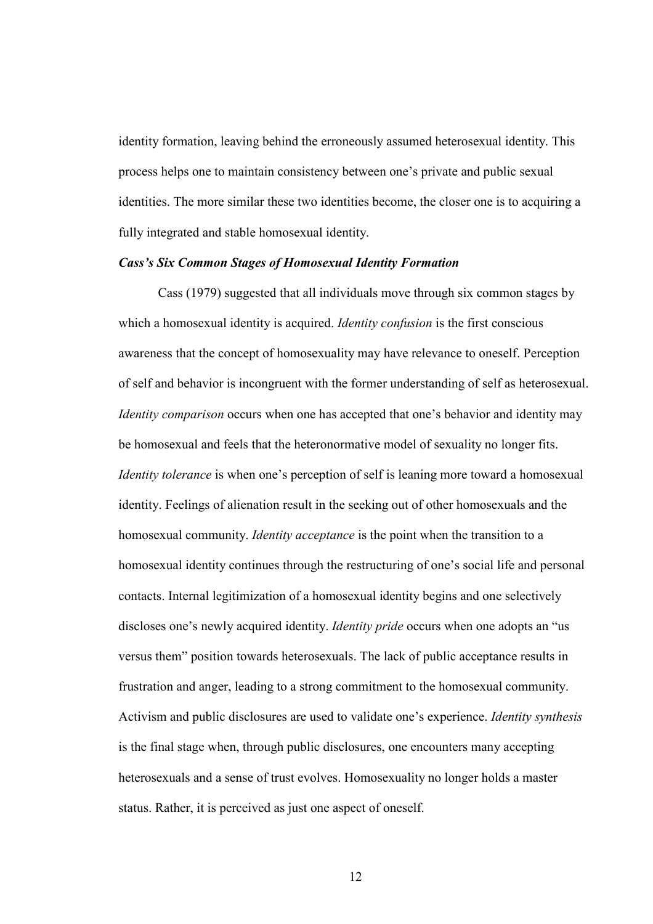identity formation, leaving behind the erroneously assumed heterosexual identity. This process helps one to maintain consistency between one's private and public sexual identities. The more similar these two identities become, the closer one is to acquiring a fully integrated and stable homosexual identity.

#### Cass's Six Common Stages of Homosexual Identity Formation

 Cass (1979) suggested that all individuals move through six common stages by which a homosexual identity is acquired. *Identity confusion* is the first conscious awareness that the concept of homosexuality may have relevance to oneself. Perception of self and behavior is incongruent with the former understanding of self as heterosexual. *Identity comparison* occurs when one has accepted that one's behavior and identity may be homosexual and feels that the heteronormative model of sexuality no longer fits. *Identity tolerance* is when one's perception of self is leaning more toward a homosexual identity. Feelings of alienation result in the seeking out of other homosexuals and the homosexual community. *Identity acceptance* is the point when the transition to a homosexual identity continues through the restructuring of one's social life and personal contacts. Internal legitimization of a homosexual identity begins and one selectively discloses one's newly acquired identity. *Identity pride* occurs when one adopts an "us versus them" position towards heterosexuals. The lack of public acceptance results in frustration and anger, leading to a strong commitment to the homosexual community. Activism and public disclosures are used to validate one's experience. *Identity synthesis*  is the final stage when, through public disclosures, one encounters many accepting heterosexuals and a sense of trust evolves. Homosexuality no longer holds a master status. Rather, it is perceived as just one aspect of oneself.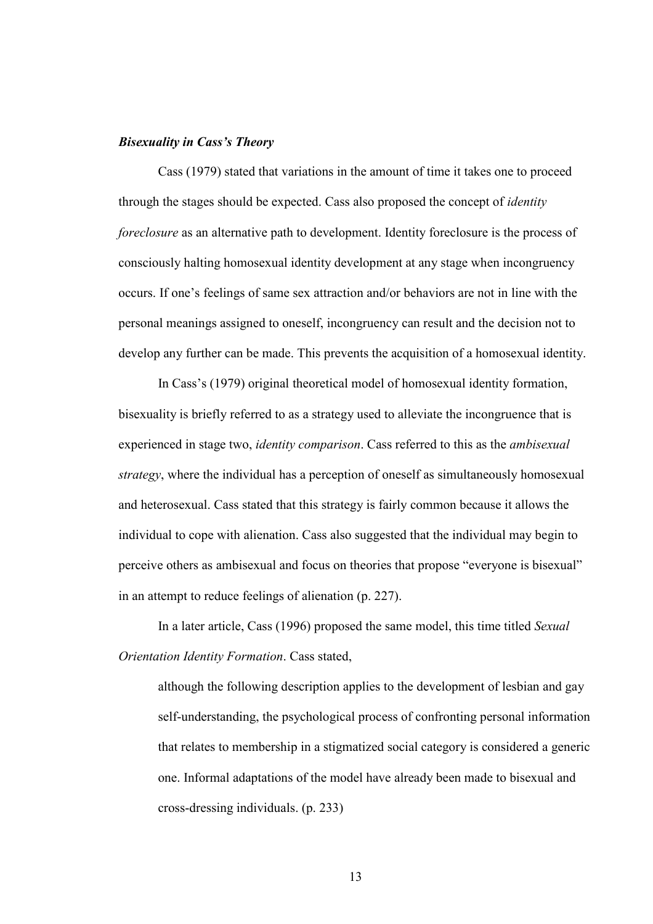#### Bisexuality in Cass's Theory

 Cass (1979) stated that variations in the amount of time it takes one to proceed through the stages should be expected. Cass also proposed the concept of *identity foreclosure* as an alternative path to development. Identity foreclosure is the process of consciously halting homosexual identity development at any stage when incongruency occurs. If one's feelings of same sex attraction and/or behaviors are not in line with the personal meanings assigned to oneself, incongruency can result and the decision not to develop any further can be made. This prevents the acquisition of a homosexual identity.

 In Cass's (1979) original theoretical model of homosexual identity formation, bisexuality is briefly referred to as a strategy used to alleviate the incongruence that is experienced in stage two, *identity comparison*. Cass referred to this as the *ambisexual strategy*, where the individual has a perception of oneself as simultaneously homosexual and heterosexual. Cass stated that this strategy is fairly common because it allows the individual to cope with alienation. Cass also suggested that the individual may begin to perceive others as ambisexual and focus on theories that propose "everyone is bisexual" in an attempt to reduce feelings of alienation (p. 227).

 In a later article, Cass (1996) proposed the same model, this time titled *Sexual Orientation Identity Formation*. Cass stated,

 although the following description applies to the development of lesbian and gay self-understanding, the psychological process of confronting personal information that relates to membership in a stigmatized social category is considered a generic one. Informal adaptations of the model have already been made to bisexual and cross-dressing individuals. (p. 233)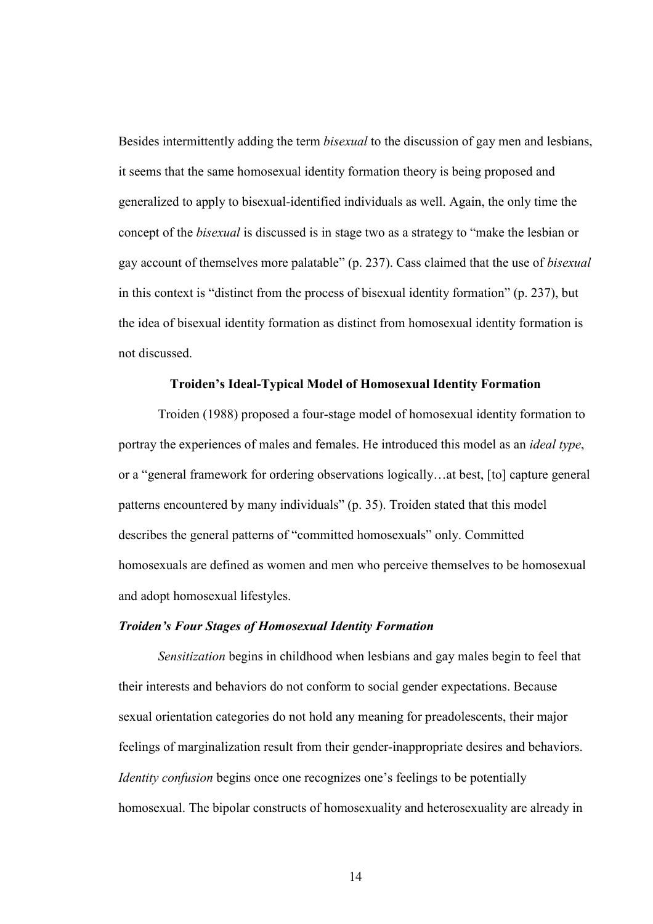Besides intermittently adding the term *bisexual* to the discussion of gay men and lesbians, it seems that the same homosexual identity formation theory is being proposed and generalized to apply to bisexual-identified individuals as well. Again, the only time the concept of the *bisexual* is discussed is in stage two as a strategy to "make the lesbian or gay account of themselves more palatable" (p. 237). Cass claimed that the use of *bisexual*  in this context is "distinct from the process of bisexual identity formation" (p. 237), but the idea of bisexual identity formation as distinct from homosexual identity formation is not discussed.

#### Troiden's Ideal-Typical Model of Homosexual Identity Formation

 Troiden (1988) proposed a four-stage model of homosexual identity formation to portray the experiences of males and females. He introduced this model as an *ideal type*, or a "general framework for ordering observations logically…at best, [to] capture general patterns encountered by many individuals" (p. 35). Troiden stated that this model describes the general patterns of "committed homosexuals" only. Committed homosexuals are defined as women and men who perceive themselves to be homosexual and adopt homosexual lifestyles.

#### Troiden's Four Stages of Homosexual Identity Formation

*Sensitization* begins in childhood when lesbians and gay males begin to feel that their interests and behaviors do not conform to social gender expectations. Because sexual orientation categories do not hold any meaning for preadolescents, their major feelings of marginalization result from their gender-inappropriate desires and behaviors. *Identity confusion* begins once one recognizes one's feelings to be potentially homosexual. The bipolar constructs of homosexuality and heterosexuality are already in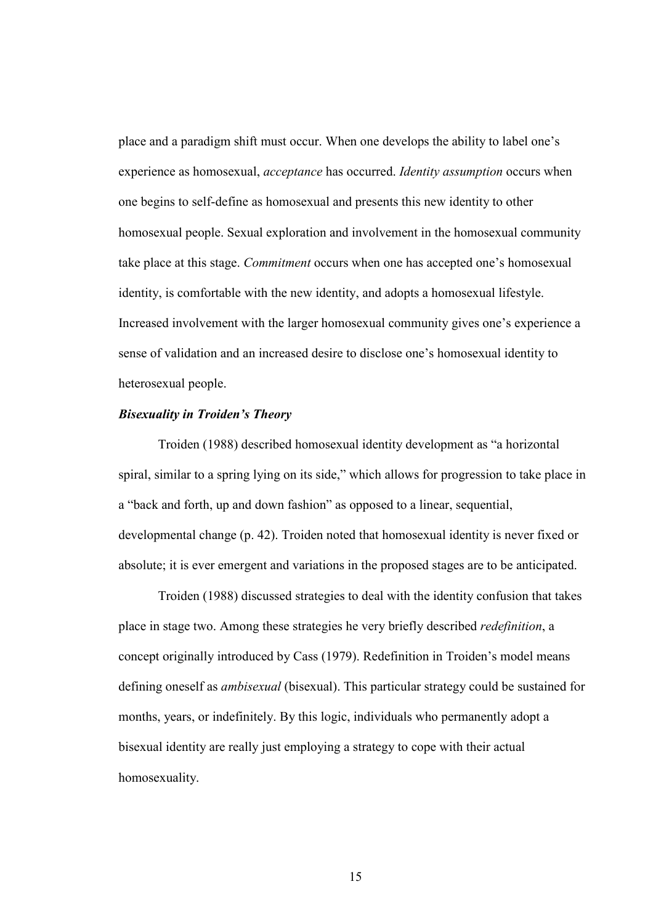place and a paradigm shift must occur. When one develops the ability to label one's experience as homosexual, *acceptance* has occurred. *Identity assumption* occurs when one begins to self-define as homosexual and presents this new identity to other homosexual people. Sexual exploration and involvement in the homosexual community take place at this stage. *Commitment* occurs when one has accepted one's homosexual identity, is comfortable with the new identity, and adopts a homosexual lifestyle. Increased involvement with the larger homosexual community gives one's experience a sense of validation and an increased desire to disclose one's homosexual identity to heterosexual people.

#### Bisexuality in Troiden's Theory

 Troiden (1988) described homosexual identity development as "a horizontal spiral, similar to a spring lying on its side," which allows for progression to take place in a "back and forth, up and down fashion" as opposed to a linear, sequential, developmental change (p. 42). Troiden noted that homosexual identity is never fixed or absolute; it is ever emergent and variations in the proposed stages are to be anticipated.

 Troiden (1988) discussed strategies to deal with the identity confusion that takes place in stage two. Among these strategies he very briefly described *redefinition*, a concept originally introduced by Cass (1979). Redefinition in Troiden's model means defining oneself as *ambisexual* (bisexual). This particular strategy could be sustained for months, years, or indefinitely. By this logic, individuals who permanently adopt a bisexual identity are really just employing a strategy to cope with their actual homosexuality.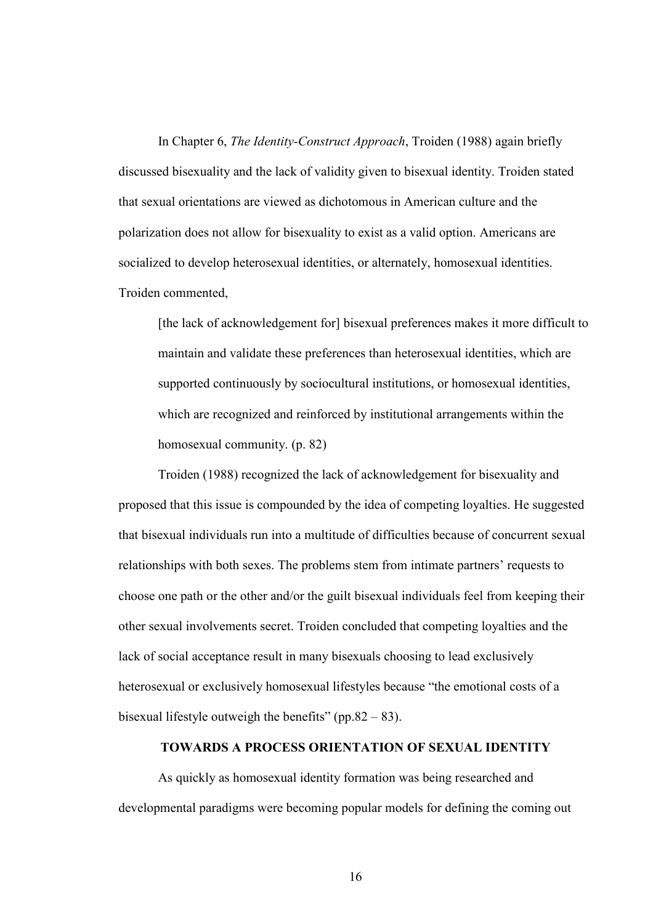In Chapter 6, *The Identity-Construct Approach*, Troiden (1988) again briefly discussed bisexuality and the lack of validity given to bisexual identity. Troiden stated that sexual orientations are viewed as dichotomous in American culture and the polarization does not allow for bisexuality to exist as a valid option. Americans are socialized to develop heterosexual identities, or alternately, homosexual identities. Troiden commented,

[the lack of acknowledgement for] bisexual preferences makes it more difficult to maintain and validate these preferences than heterosexual identities, which are supported continuously by sociocultural institutions, or homosexual identities, which are recognized and reinforced by institutional arrangements within the homosexual community. (p. 82)

 Troiden (1988) recognized the lack of acknowledgement for bisexuality and proposed that this issue is compounded by the idea of competing loyalties. He suggested that bisexual individuals run into a multitude of difficulties because of concurrent sexual relationships with both sexes. The problems stem from intimate partners' requests to choose one path or the other and/or the guilt bisexual individuals feel from keeping their other sexual involvements secret. Troiden concluded that competing loyalties and the lack of social acceptance result in many bisexuals choosing to lead exclusively heterosexual or exclusively homosexual lifestyles because "the emotional costs of a bisexual lifestyle outweigh the benefits" (pp.82 – 83).

#### TOWARDS A PROCESS ORIENTATION OF SEXUAL IDENTITY

 As quickly as homosexual identity formation was being researched and developmental paradigms were becoming popular models for defining the coming out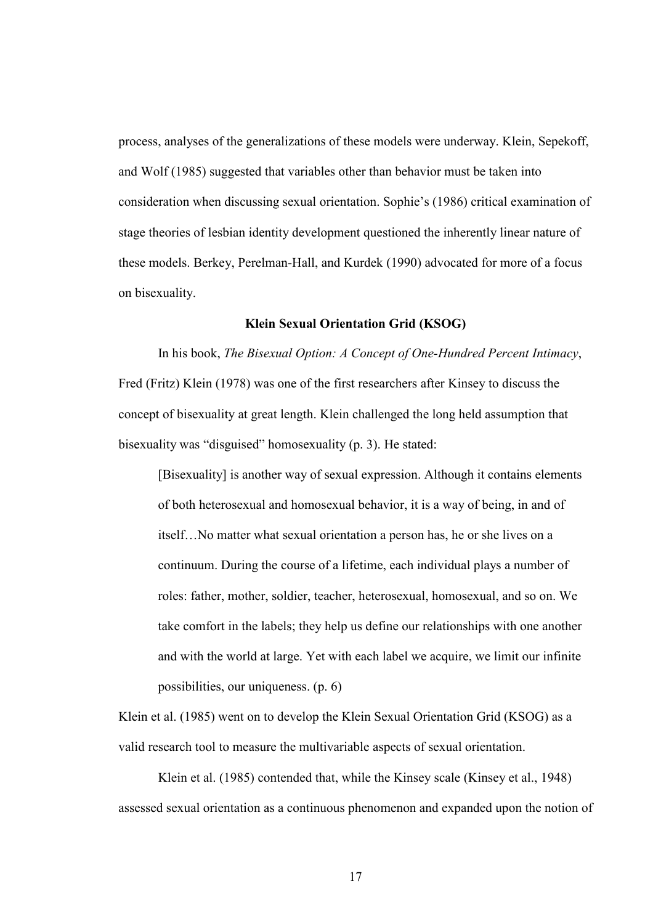process, analyses of the generalizations of these models were underway. Klein, Sepekoff, and Wolf (1985) suggested that variables other than behavior must be taken into consideration when discussing sexual orientation. Sophie's (1986) critical examination of stage theories of lesbian identity development questioned the inherently linear nature of these models. Berkey, Perelman-Hall, and Kurdek (1990) advocated for more of a focus on bisexuality.

#### Klein Sexual Orientation Grid (KSOG)

 In his book, *The Bisexual Option: A Concept of One-Hundred Percent Intimacy*, Fred (Fritz) Klein (1978) was one of the first researchers after Kinsey to discuss the concept of bisexuality at great length. Klein challenged the long held assumption that bisexuality was "disguised" homosexuality (p. 3). He stated:

 [Bisexuality] is another way of sexual expression. Although it contains elements of both heterosexual and homosexual behavior, it is a way of being, in and of itself…No matter what sexual orientation a person has, he or she lives on a continuum. During the course of a lifetime, each individual plays a number of roles: father, mother, soldier, teacher, heterosexual, homosexual, and so on. We take comfort in the labels; they help us define our relationships with one another and with the world at large. Yet with each label we acquire, we limit our infinite possibilities, our uniqueness. (p. 6)

Klein et al. (1985) went on to develop the Klein Sexual Orientation Grid (KSOG) as a valid research tool to measure the multivariable aspects of sexual orientation.

 Klein et al. (1985) contended that, while the Kinsey scale (Kinsey et al., 1948) assessed sexual orientation as a continuous phenomenon and expanded upon the notion of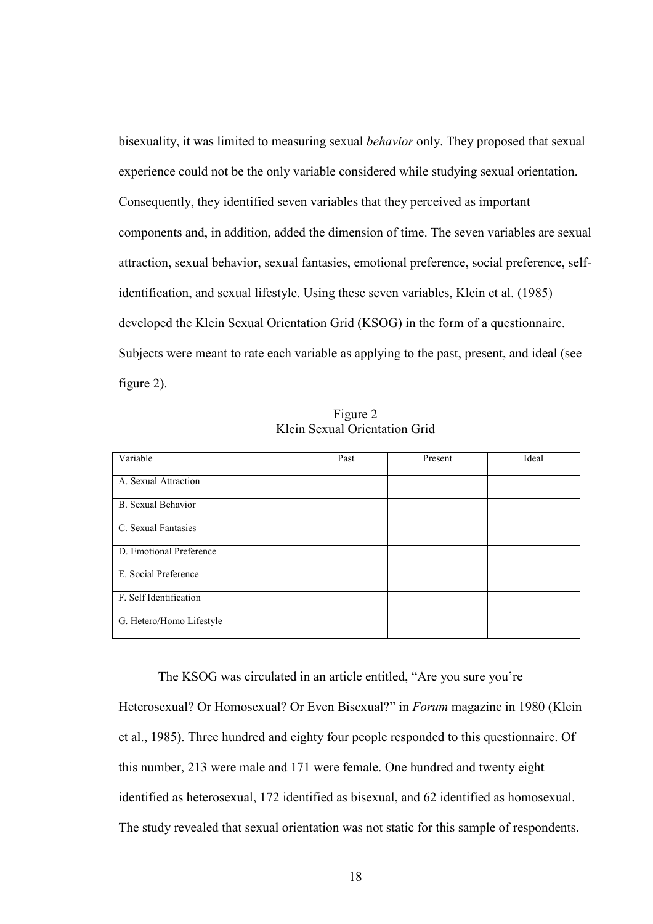bisexuality, it was limited to measuring sexual *behavior* only. They proposed that sexual experience could not be the only variable considered while studying sexual orientation. Consequently, they identified seven variables that they perceived as important components and, in addition, added the dimension of time. The seven variables are sexual attraction, sexual behavior, sexual fantasies, emotional preference, social preference, selfidentification, and sexual lifestyle. Using these seven variables, Klein et al. (1985) developed the Klein Sexual Orientation Grid (KSOG) in the form of a questionnaire. Subjects were meant to rate each variable as applying to the past, present, and ideal (see figure 2).

| Figure 2                      |  |
|-------------------------------|--|
| Klein Sexual Orientation Grid |  |

| Variable                  | Past | Present | Ideal |
|---------------------------|------|---------|-------|
| A. Sexual Attraction      |      |         |       |
| <b>B.</b> Sexual Behavior |      |         |       |
| C. Sexual Fantasies       |      |         |       |
| D. Emotional Preference   |      |         |       |
| E. Social Preference      |      |         |       |
| F. Self Identification    |      |         |       |
| G. Hetero/Homo Lifestyle  |      |         |       |

 The KSOG was circulated in an article entitled, "Are you sure you're Heterosexual? Or Homosexual? Or Even Bisexual?" in *Forum* magazine in 1980 (Klein et al., 1985). Three hundred and eighty four people responded to this questionnaire. Of this number, 213 were male and 171 were female. One hundred and twenty eight identified as heterosexual, 172 identified as bisexual, and 62 identified as homosexual. The study revealed that sexual orientation was not static for this sample of respondents.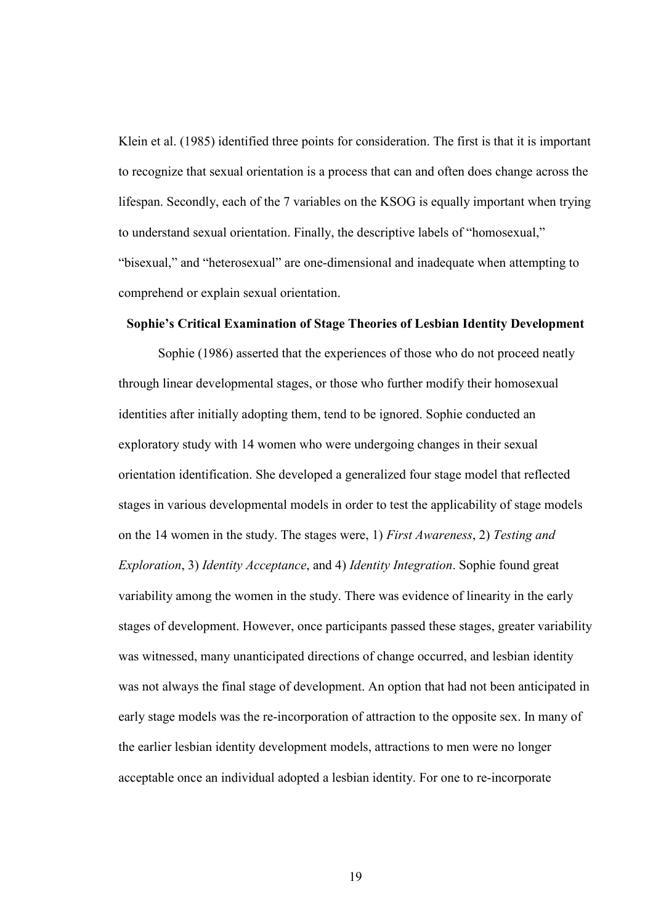Klein et al. (1985) identified three points for consideration. The first is that it is important to recognize that sexual orientation is a process that can and often does change across the lifespan. Secondly, each of the 7 variables on the KSOG is equally important when trying to understand sexual orientation. Finally, the descriptive labels of "homosexual," "bisexual," and "heterosexual" are one-dimensional and inadequate when attempting to comprehend or explain sexual orientation.

# Sophie's Critical Examination of Stage Theories of Lesbian Identity Development

 Sophie (1986) asserted that the experiences of those who do not proceed neatly through linear developmental stages, or those who further modify their homosexual identities after initially adopting them, tend to be ignored. Sophie conducted an exploratory study with 14 women who were undergoing changes in their sexual orientation identification. She developed a generalized four stage model that reflected stages in various developmental models in order to test the applicability of stage models on the 14 women in the study. The stages were, 1) *First Awareness*, 2) *Testing and Exploration*, 3) *Identity Acceptance*, and 4) *Identity Integration*. Sophie found great variability among the women in the study. There was evidence of linearity in the early stages of development. However, once participants passed these stages, greater variability was witnessed, many unanticipated directions of change occurred, and lesbian identity was not always the final stage of development. An option that had not been anticipated in early stage models was the re-incorporation of attraction to the opposite sex. In many of the earlier lesbian identity development models, attractions to men were no longer acceptable once an individual adopted a lesbian identity. For one to re-incorporate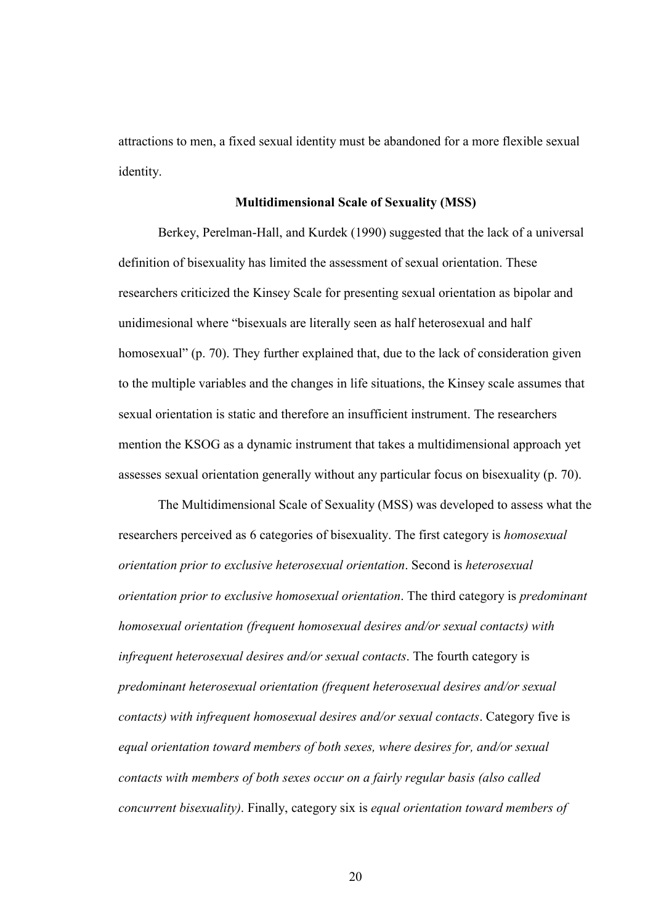attractions to men, a fixed sexual identity must be abandoned for a more flexible sexual identity.

#### Multidimensional Scale of Sexuality (MSS)

 Berkey, Perelman-Hall, and Kurdek (1990) suggested that the lack of a universal definition of bisexuality has limited the assessment of sexual orientation. These researchers criticized the Kinsey Scale for presenting sexual orientation as bipolar and unidimesional where "bisexuals are literally seen as half heterosexual and half homosexual" (p. 70). They further explained that, due to the lack of consideration given to the multiple variables and the changes in life situations, the Kinsey scale assumes that sexual orientation is static and therefore an insufficient instrument. The researchers mention the KSOG as a dynamic instrument that takes a multidimensional approach yet assesses sexual orientation generally without any particular focus on bisexuality (p. 70).

 The Multidimensional Scale of Sexuality (MSS) was developed to assess what the researchers perceived as 6 categories of bisexuality. The first category is *homosexual orientation prior to exclusive heterosexual orientation*. Second is *heterosexual orientation prior to exclusive homosexual orientation*. The third category is *predominant homosexual orientation (frequent homosexual desires and/or sexual contacts) with infrequent heterosexual desires and/or sexual contacts*. The fourth category is *predominant heterosexual orientation (frequent heterosexual desires and/or sexual contacts) with infrequent homosexual desires and/or sexual contacts*. Category five is *equal orientation toward members of both sexes, where desires for, and/or sexual contacts with members of both sexes occur on a fairly regular basis (also called concurrent bisexuality)*. Finally, category six is *equal orientation toward members of*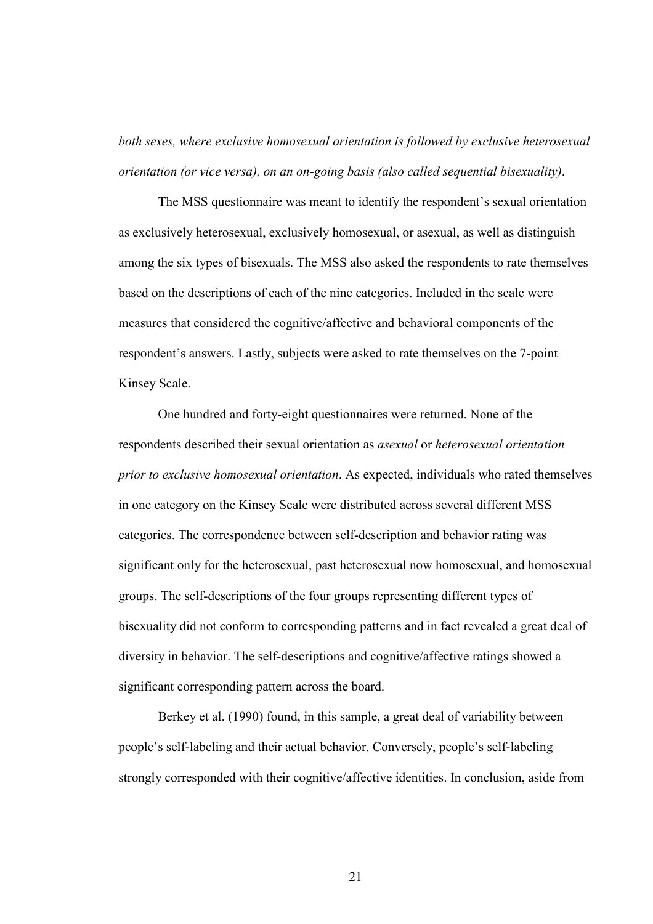*both sexes, where exclusive homosexual orientation is followed by exclusive heterosexual orientation (or vice versa), on an on-going basis (also called sequential bisexuality)*.

 The MSS questionnaire was meant to identify the respondent's sexual orientation as exclusively heterosexual, exclusively homosexual, or asexual, as well as distinguish among the six types of bisexuals. The MSS also asked the respondents to rate themselves based on the descriptions of each of the nine categories. Included in the scale were measures that considered the cognitive/affective and behavioral components of the respondent's answers. Lastly, subjects were asked to rate themselves on the 7-point Kinsey Scale.

 One hundred and forty-eight questionnaires were returned. None of the respondents described their sexual orientation as *asexual* or *heterosexual orientation prior to exclusive homosexual orientation*. As expected, individuals who rated themselves in one category on the Kinsey Scale were distributed across several different MSS categories. The correspondence between self-description and behavior rating was significant only for the heterosexual, past heterosexual now homosexual, and homosexual groups. The self-descriptions of the four groups representing different types of bisexuality did not conform to corresponding patterns and in fact revealed a great deal of diversity in behavior. The self-descriptions and cognitive/affective ratings showed a significant corresponding pattern across the board.

 Berkey et al. (1990) found, in this sample, a great deal of variability between people's self-labeling and their actual behavior. Conversely, people's self-labeling strongly corresponded with their cognitive/affective identities. In conclusion, aside from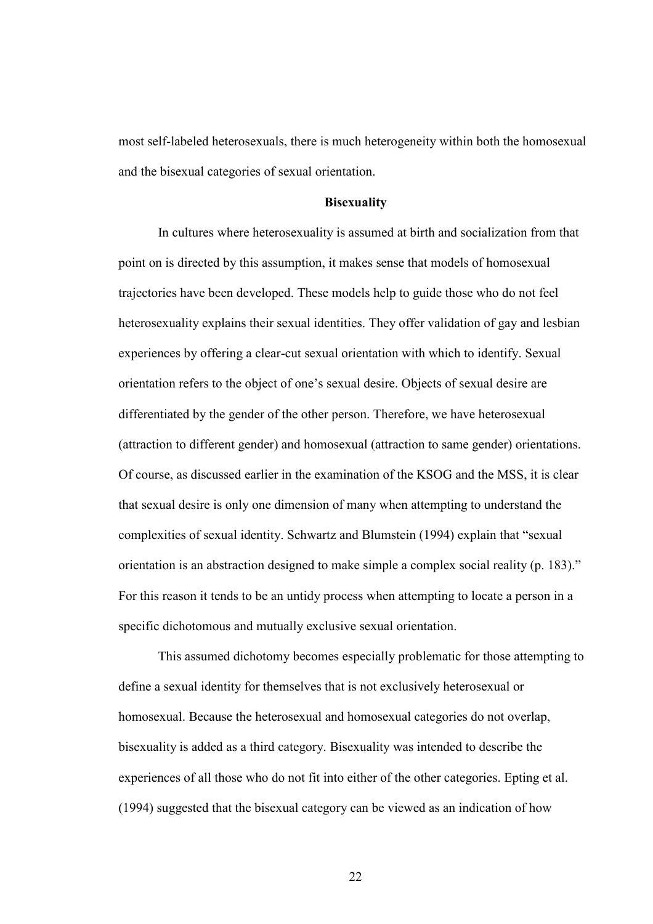most self-labeled heterosexuals, there is much heterogeneity within both the homosexual and the bisexual categories of sexual orientation.

#### **Bisexuality**

In cultures where heterosexuality is assumed at birth and socialization from that point on is directed by this assumption, it makes sense that models of homosexual trajectories have been developed. These models help to guide those who do not feel heterosexuality explains their sexual identities. They offer validation of gay and lesbian experiences by offering a clear-cut sexual orientation with which to identify. Sexual orientation refers to the object of one's sexual desire. Objects of sexual desire are differentiated by the gender of the other person. Therefore, we have heterosexual (attraction to different gender) and homosexual (attraction to same gender) orientations. Of course, as discussed earlier in the examination of the KSOG and the MSS, it is clear that sexual desire is only one dimension of many when attempting to understand the complexities of sexual identity. Schwartz and Blumstein (1994) explain that "sexual orientation is an abstraction designed to make simple a complex social reality (p. 183)." For this reason it tends to be an untidy process when attempting to locate a person in a specific dichotomous and mutually exclusive sexual orientation.

This assumed dichotomy becomes especially problematic for those attempting to define a sexual identity for themselves that is not exclusively heterosexual or homosexual. Because the heterosexual and homosexual categories do not overlap, bisexuality is added as a third category. Bisexuality was intended to describe the experiences of all those who do not fit into either of the other categories. Epting et al. (1994) suggested that the bisexual category can be viewed as an indication of how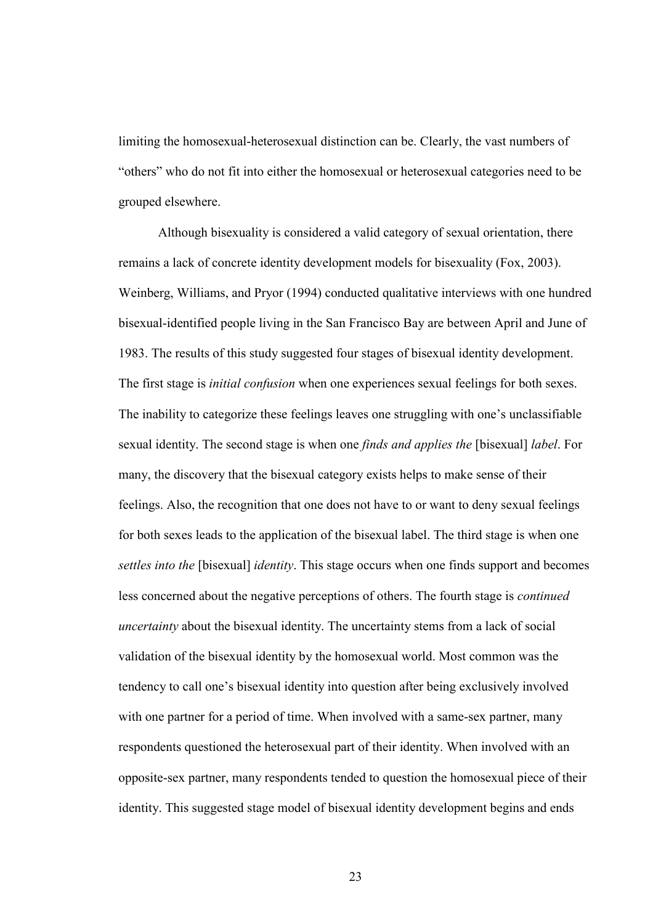limiting the homosexual-heterosexual distinction can be. Clearly, the vast numbers of "others" who do not fit into either the homosexual or heterosexual categories need to be grouped elsewhere.

Although bisexuality is considered a valid category of sexual orientation, there remains a lack of concrete identity development models for bisexuality (Fox, 2003). Weinberg, Williams, and Pryor (1994) conducted qualitative interviews with one hundred bisexual-identified people living in the San Francisco Bay are between April and June of 1983. The results of this study suggested four stages of bisexual identity development. The first stage is *initial confusion* when one experiences sexual feelings for both sexes. The inability to categorize these feelings leaves one struggling with one's unclassifiable sexual identity. The second stage is when one *finds and applies the* [bisexual] *label*. For many, the discovery that the bisexual category exists helps to make sense of their feelings. Also, the recognition that one does not have to or want to deny sexual feelings for both sexes leads to the application of the bisexual label. The third stage is when one *settles into the* [bisexual] *identity*. This stage occurs when one finds support and becomes less concerned about the negative perceptions of others. The fourth stage is *continued uncertainty* about the bisexual identity. The uncertainty stems from a lack of social validation of the bisexual identity by the homosexual world. Most common was the tendency to call one's bisexual identity into question after being exclusively involved with one partner for a period of time. When involved with a same-sex partner, many respondents questioned the heterosexual part of their identity. When involved with an opposite-sex partner, many respondents tended to question the homosexual piece of their identity. This suggested stage model of bisexual identity development begins and ends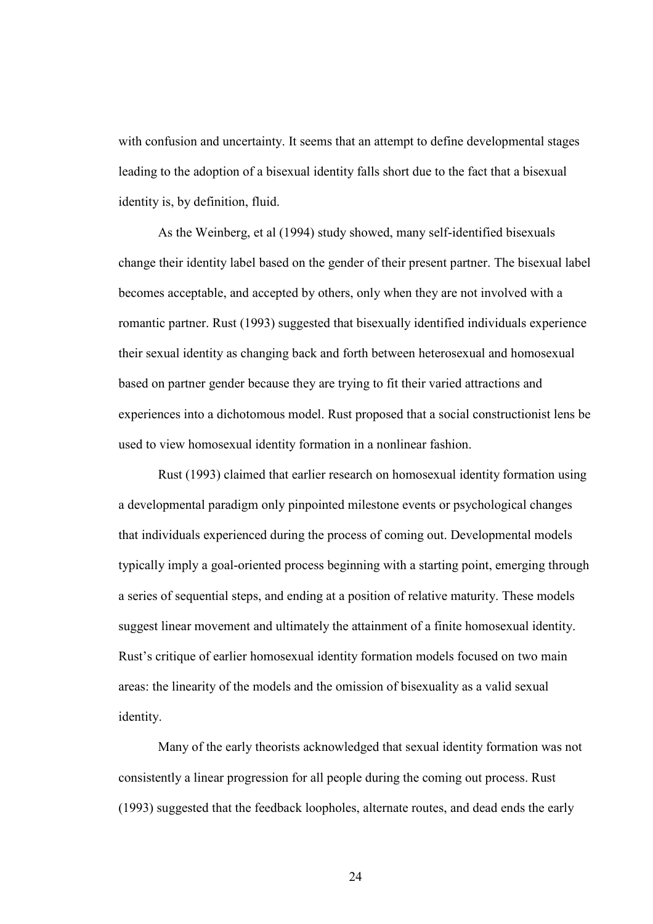with confusion and uncertainty. It seems that an attempt to define developmental stages leading to the adoption of a bisexual identity falls short due to the fact that a bisexual identity is, by definition, fluid.

As the Weinberg, et al (1994) study showed, many self-identified bisexuals change their identity label based on the gender of their present partner. The bisexual label becomes acceptable, and accepted by others, only when they are not involved with a romantic partner. Rust (1993) suggested that bisexually identified individuals experience their sexual identity as changing back and forth between heterosexual and homosexual based on partner gender because they are trying to fit their varied attractions and experiences into a dichotomous model. Rust proposed that a social constructionist lens be used to view homosexual identity formation in a nonlinear fashion.

Rust (1993) claimed that earlier research on homosexual identity formation using a developmental paradigm only pinpointed milestone events or psychological changes that individuals experienced during the process of coming out. Developmental models typically imply a goal-oriented process beginning with a starting point, emerging through a series of sequential steps, and ending at a position of relative maturity. These models suggest linear movement and ultimately the attainment of a finite homosexual identity. Rust's critique of earlier homosexual identity formation models focused on two main areas: the linearity of the models and the omission of bisexuality as a valid sexual identity.

Many of the early theorists acknowledged that sexual identity formation was not consistently a linear progression for all people during the coming out process. Rust (1993) suggested that the feedback loopholes, alternate routes, and dead ends the early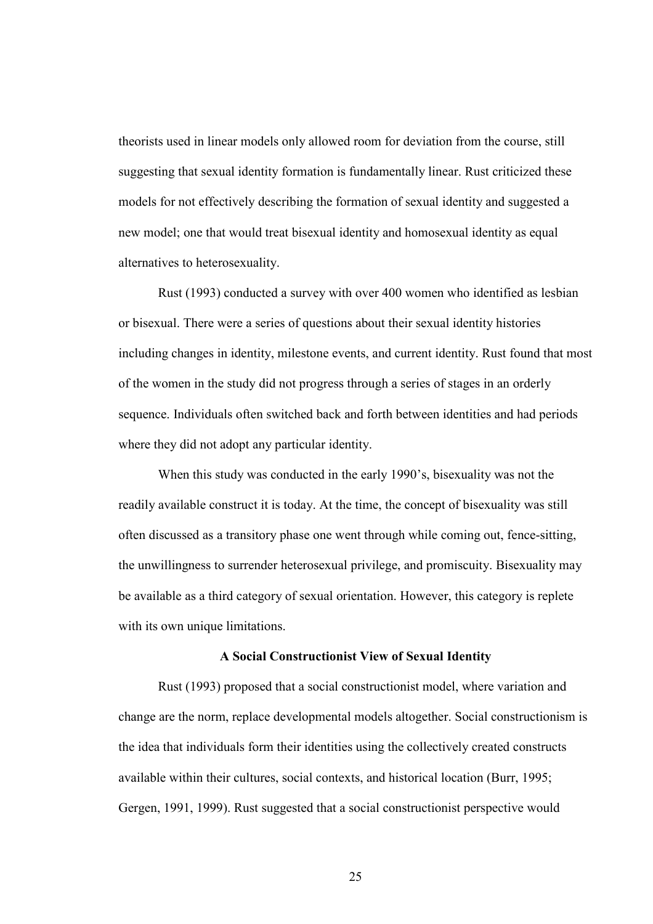theorists used in linear models only allowed room for deviation from the course, still suggesting that sexual identity formation is fundamentally linear. Rust criticized these models for not effectively describing the formation of sexual identity and suggested a new model; one that would treat bisexual identity and homosexual identity as equal alternatives to heterosexuality.

Rust (1993) conducted a survey with over 400 women who identified as lesbian or bisexual. There were a series of questions about their sexual identity histories including changes in identity, milestone events, and current identity. Rust found that most of the women in the study did not progress through a series of stages in an orderly sequence. Individuals often switched back and forth between identities and had periods where they did not adopt any particular identity.

When this study was conducted in the early 1990's, bisexuality was not the readily available construct it is today. At the time, the concept of bisexuality was still often discussed as a transitory phase one went through while coming out, fence-sitting, the unwillingness to surrender heterosexual privilege, and promiscuity. Bisexuality may be available as a third category of sexual orientation. However, this category is replete with its own unique limitations.

#### A Social Constructionist View of Sexual Identity

Rust (1993) proposed that a social constructionist model, where variation and change are the norm, replace developmental models altogether. Social constructionism is the idea that individuals form their identities using the collectively created constructs available within their cultures, social contexts, and historical location (Burr, 1995; Gergen, 1991, 1999). Rust suggested that a social constructionist perspective would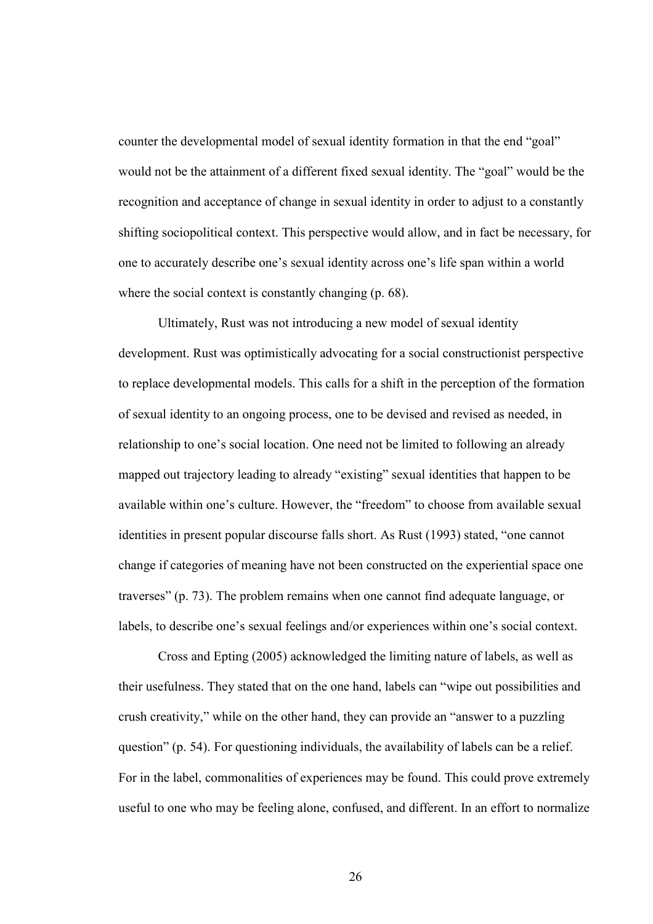counter the developmental model of sexual identity formation in that the end "goal" would not be the attainment of a different fixed sexual identity. The "goal" would be the recognition and acceptance of change in sexual identity in order to adjust to a constantly shifting sociopolitical context. This perspective would allow, and in fact be necessary, for one to accurately describe one's sexual identity across one's life span within a world where the social context is constantly changing (p. 68).

Ultimately, Rust was not introducing a new model of sexual identity development. Rust was optimistically advocating for a social constructionist perspective to replace developmental models. This calls for a shift in the perception of the formation of sexual identity to an ongoing process, one to be devised and revised as needed, in relationship to one's social location. One need not be limited to following an already mapped out trajectory leading to already "existing" sexual identities that happen to be available within one's culture. However, the "freedom" to choose from available sexual identities in present popular discourse falls short. As Rust (1993) stated, "one cannot change if categories of meaning have not been constructed on the experiential space one traverses" (p. 73). The problem remains when one cannot find adequate language, or labels, to describe one's sexual feelings and/or experiences within one's social context.

Cross and Epting (2005) acknowledged the limiting nature of labels, as well as their usefulness. They stated that on the one hand, labels can "wipe out possibilities and crush creativity," while on the other hand, they can provide an "answer to a puzzling question" (p. 54). For questioning individuals, the availability of labels can be a relief. For in the label, commonalities of experiences may be found. This could prove extremely useful to one who may be feeling alone, confused, and different. In an effort to normalize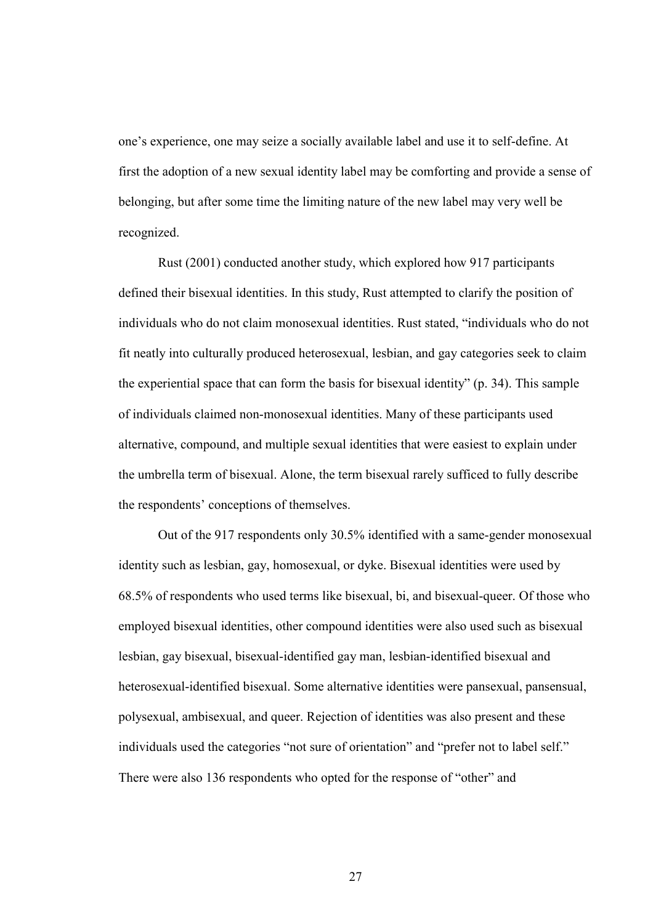one's experience, one may seize a socially available label and use it to self-define. At first the adoption of a new sexual identity label may be comforting and provide a sense of belonging, but after some time the limiting nature of the new label may very well be recognized.

Rust (2001) conducted another study, which explored how 917 participants defined their bisexual identities. In this study, Rust attempted to clarify the position of individuals who do not claim monosexual identities. Rust stated, "individuals who do not fit neatly into culturally produced heterosexual, lesbian, and gay categories seek to claim the experiential space that can form the basis for bisexual identity" (p. 34). This sample of individuals claimed non-monosexual identities. Many of these participants used alternative, compound, and multiple sexual identities that were easiest to explain under the umbrella term of bisexual. Alone, the term bisexual rarely sufficed to fully describe the respondents' conceptions of themselves.

 Out of the 917 respondents only 30.5% identified with a same-gender monosexual identity such as lesbian, gay, homosexual, or dyke. Bisexual identities were used by 68.5% of respondents who used terms like bisexual, bi, and bisexual-queer. Of those who employed bisexual identities, other compound identities were also used such as bisexual lesbian, gay bisexual, bisexual-identified gay man, lesbian-identified bisexual and heterosexual-identified bisexual. Some alternative identities were pansexual, pansensual, polysexual, ambisexual, and queer. Rejection of identities was also present and these individuals used the categories "not sure of orientation" and "prefer not to label self." There were also 136 respondents who opted for the response of "other" and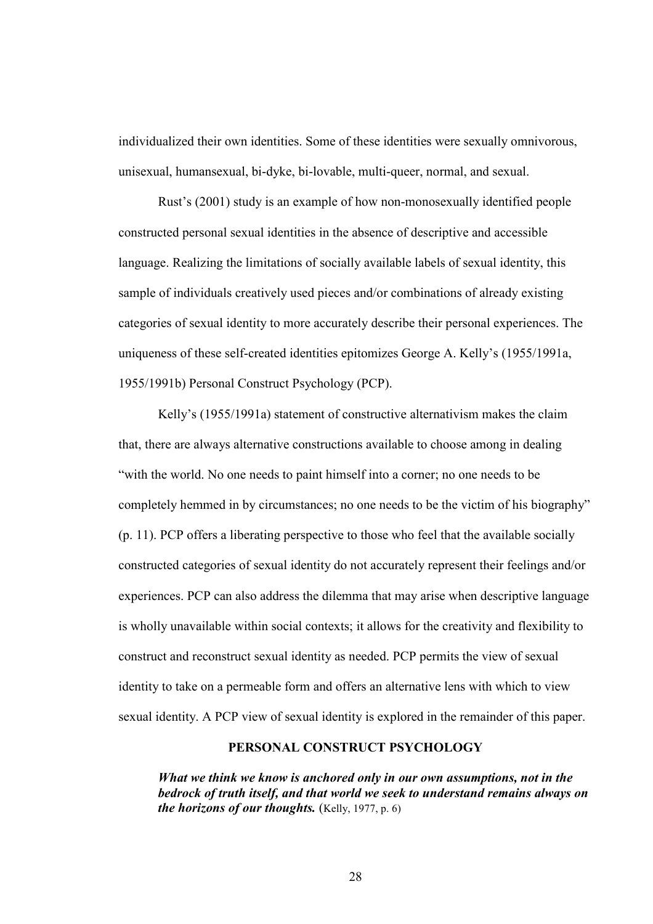individualized their own identities. Some of these identities were sexually omnivorous, unisexual, humansexual, bi-dyke, bi-lovable, multi-queer, normal, and sexual.

 Rust's (2001) study is an example of how non-monosexually identified people constructed personal sexual identities in the absence of descriptive and accessible language. Realizing the limitations of socially available labels of sexual identity, this sample of individuals creatively used pieces and/or combinations of already existing categories of sexual identity to more accurately describe their personal experiences. The uniqueness of these self-created identities epitomizes George A. Kelly's (1955/1991a, 1955/1991b) Personal Construct Psychology (PCP).

Kelly's (1955/1991a) statement of constructive alternativism makes the claim that, there are always alternative constructions available to choose among in dealing "with the world. No one needs to paint himself into a corner; no one needs to be completely hemmed in by circumstances; no one needs to be the victim of his biography" (p. 11). PCP offers a liberating perspective to those who feel that the available socially constructed categories of sexual identity do not accurately represent their feelings and/or experiences. PCP can also address the dilemma that may arise when descriptive language is wholly unavailable within social contexts; it allows for the creativity and flexibility to construct and reconstruct sexual identity as needed. PCP permits the view of sexual identity to take on a permeable form and offers an alternative lens with which to view sexual identity. A PCP view of sexual identity is explored in the remainder of this paper.

#### PERSONAL CONSTRUCT PSYCHOLOGY

What we think we know is anchored only in our own assumptions, not in the bedrock of truth itself, and that world we seek to understand remains always on the horizons of our thoughts. (Kelly, 1977, p. 6)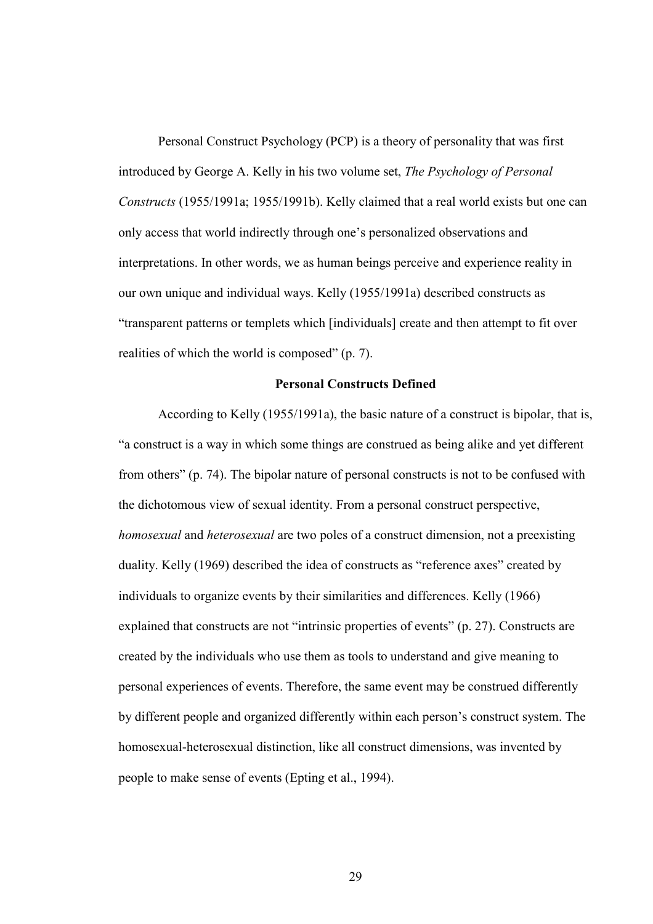Personal Construct Psychology (PCP) is a theory of personality that was first introduced by George A. Kelly in his two volume set, *The Psychology of Personal Constructs* (1955/1991a; 1955/1991b). Kelly claimed that a real world exists but one can only access that world indirectly through one's personalized observations and interpretations. In other words, we as human beings perceive and experience reality in our own unique and individual ways. Kelly (1955/1991a) described constructs as "transparent patterns or templets which [individuals] create and then attempt to fit over realities of which the world is composed" (p. 7).

#### Personal Constructs Defined

 According to Kelly (1955/1991a), the basic nature of a construct is bipolar, that is, "a construct is a way in which some things are construed as being alike and yet different from others" (p. 74). The bipolar nature of personal constructs is not to be confused with the dichotomous view of sexual identity. From a personal construct perspective, *homosexual* and *heterosexual* are two poles of a construct dimension, not a preexisting duality. Kelly (1969) described the idea of constructs as "reference axes" created by individuals to organize events by their similarities and differences. Kelly (1966) explained that constructs are not "intrinsic properties of events" (p. 27). Constructs are created by the individuals who use them as tools to understand and give meaning to personal experiences of events. Therefore, the same event may be construed differently by different people and organized differently within each person's construct system. The homosexual-heterosexual distinction, like all construct dimensions, was invented by people to make sense of events (Epting et al., 1994).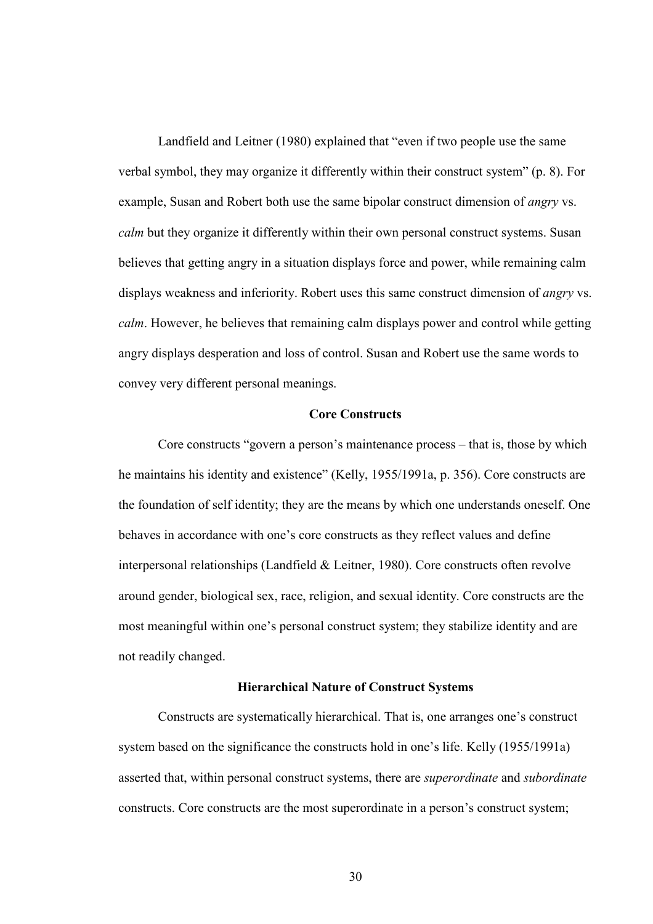Landfield and Leitner (1980) explained that "even if two people use the same verbal symbol, they may organize it differently within their construct system" (p. 8). For example, Susan and Robert both use the same bipolar construct dimension of *angry* vs. *calm* but they organize it differently within their own personal construct systems. Susan believes that getting angry in a situation displays force and power, while remaining calm displays weakness and inferiority. Robert uses this same construct dimension of *angry* vs. *calm*. However, he believes that remaining calm displays power and control while getting angry displays desperation and loss of control. Susan and Robert use the same words to convey very different personal meanings.

#### Core Constructs

Core constructs "govern a person's maintenance process – that is, those by which he maintains his identity and existence" (Kelly, 1955/1991a, p. 356). Core constructs are the foundation of self identity; they are the means by which one understands oneself. One behaves in accordance with one's core constructs as they reflect values and define interpersonal relationships (Landfield & Leitner, 1980). Core constructs often revolve around gender, biological sex, race, religion, and sexual identity. Core constructs are the most meaningful within one's personal construct system; they stabilize identity and are not readily changed.

#### Hierarchical Nature of Construct Systems

Constructs are systematically hierarchical. That is, one arranges one's construct system based on the significance the constructs hold in one's life. Kelly (1955/1991a) asserted that, within personal construct systems, there are *superordinate* and *subordinate* constructs. Core constructs are the most superordinate in a person's construct system;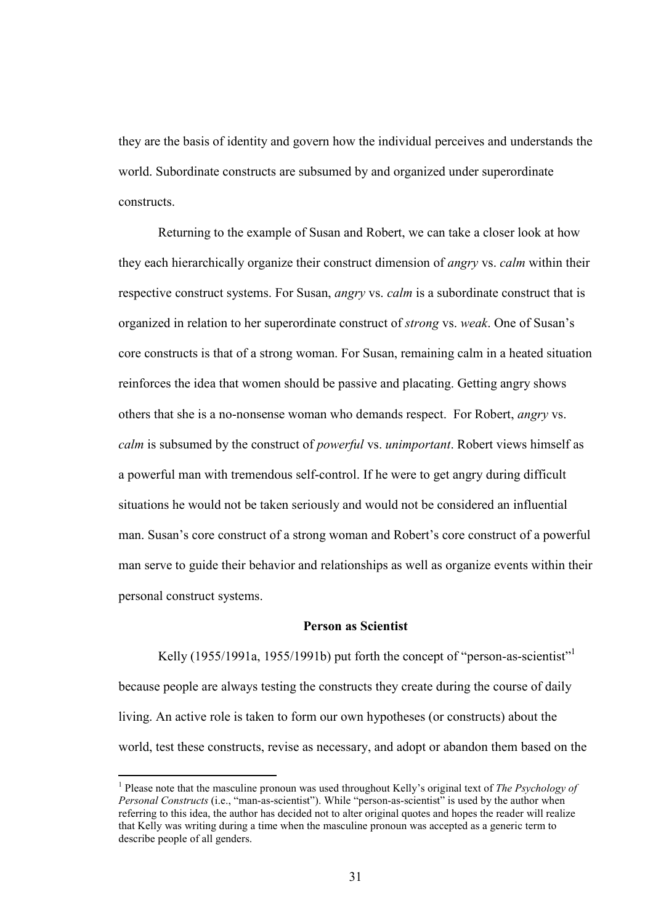they are the basis of identity and govern how the individual perceives and understands the world. Subordinate constructs are subsumed by and organized under superordinate constructs.

 Returning to the example of Susan and Robert, we can take a closer look at how they each hierarchically organize their construct dimension of *angry* vs. *calm* within their respective construct systems. For Susan, *angry* vs. *calm* is a subordinate construct that is organized in relation to her superordinate construct of *strong* vs. *weak*. One of Susan's core constructs is that of a strong woman. For Susan, remaining calm in a heated situation reinforces the idea that women should be passive and placating. Getting angry shows others that she is a no-nonsense woman who demands respect. For Robert, *angry* vs. *calm* is subsumed by the construct of *powerful* vs. *unimportant*. Robert views himself as a powerful man with tremendous self-control. If he were to get angry during difficult situations he would not be taken seriously and would not be considered an influential man. Susan's core construct of a strong woman and Robert's core construct of a powerful man serve to guide their behavior and relationships as well as organize events within their personal construct systems.

#### Person as Scientist

Kelly (1955/1991a, 1955/1991b) put forth the concept of "person-as-scientist" because people are always testing the constructs they create during the course of daily living. An active role is taken to form our own hypotheses (or constructs) about the world, test these constructs, revise as necessary, and adopt or abandon them based on the

 $\overline{a}$ 

<sup>&</sup>lt;sup>1</sup> Please note that the masculine pronoun was used throughout Kelly's original text of *The Psychology of Personal Constructs* (i.e., "man-as-scientist"). While "person-as-scientist" is used by the author when referring to this idea, the author has decided not to alter original quotes and hopes the reader will realize that Kelly was writing during a time when the masculine pronoun was accepted as a generic term to describe people of all genders.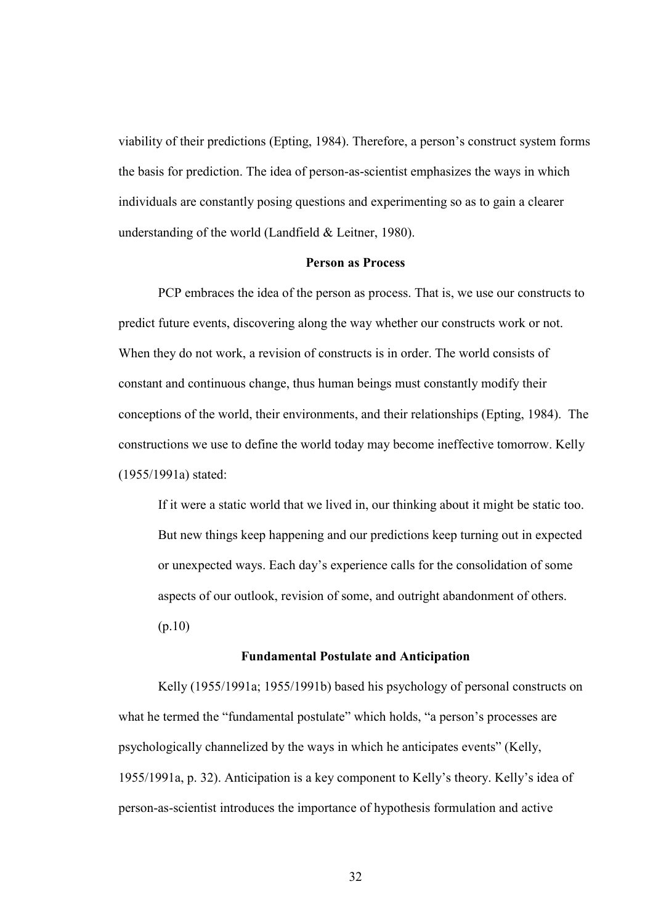viability of their predictions (Epting, 1984). Therefore, a person's construct system forms the basis for prediction. The idea of person-as-scientist emphasizes the ways in which individuals are constantly posing questions and experimenting so as to gain a clearer understanding of the world (Landfield & Leitner, 1980).

#### Person as Process

 PCP embraces the idea of the person as process. That is, we use our constructs to predict future events, discovering along the way whether our constructs work or not. When they do not work, a revision of constructs is in order. The world consists of constant and continuous change, thus human beings must constantly modify their conceptions of the world, their environments, and their relationships (Epting, 1984). The constructions we use to define the world today may become ineffective tomorrow. Kelly (1955/1991a) stated:

 If it were a static world that we lived in, our thinking about it might be static too. But new things keep happening and our predictions keep turning out in expected or unexpected ways. Each day's experience calls for the consolidation of some aspects of our outlook, revision of some, and outright abandonment of others. (p.10)

#### Fundamental Postulate and Anticipation

Kelly (1955/1991a; 1955/1991b) based his psychology of personal constructs on what he termed the "fundamental postulate" which holds, "a person's processes are psychologically channelized by the ways in which he anticipates events" (Kelly, 1955/1991a, p. 32). Anticipation is a key component to Kelly's theory. Kelly's idea of person-as-scientist introduces the importance of hypothesis formulation and active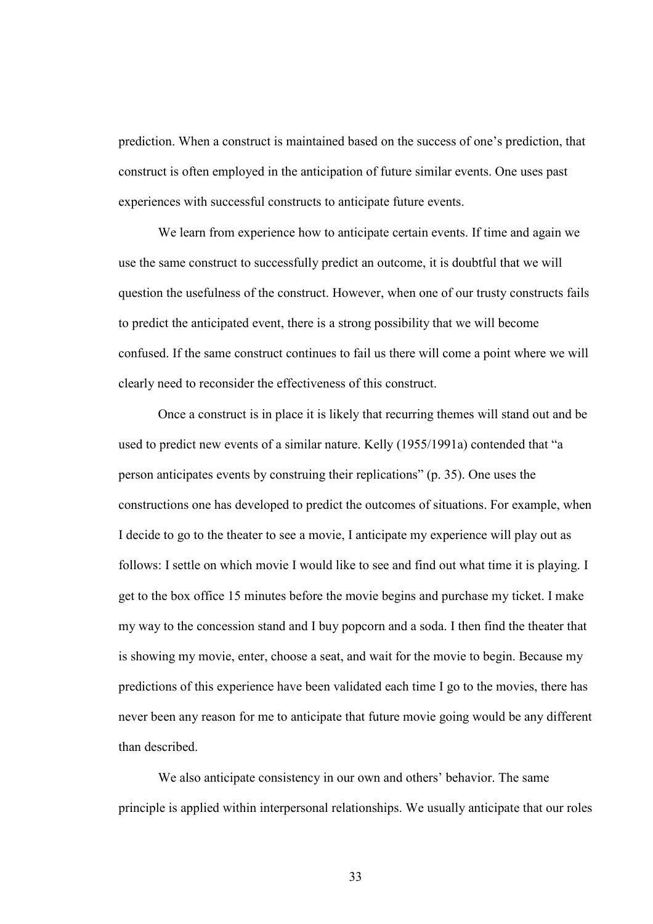prediction. When a construct is maintained based on the success of one's prediction, that construct is often employed in the anticipation of future similar events. One uses past experiences with successful constructs to anticipate future events.

 We learn from experience how to anticipate certain events. If time and again we use the same construct to successfully predict an outcome, it is doubtful that we will question the usefulness of the construct. However, when one of our trusty constructs fails to predict the anticipated event, there is a strong possibility that we will become confused. If the same construct continues to fail us there will come a point where we will clearly need to reconsider the effectiveness of this construct.

 Once a construct is in place it is likely that recurring themes will stand out and be used to predict new events of a similar nature. Kelly (1955/1991a) contended that "a person anticipates events by construing their replications" (p. 35). One uses the constructions one has developed to predict the outcomes of situations. For example, when I decide to go to the theater to see a movie, I anticipate my experience will play out as follows: I settle on which movie I would like to see and find out what time it is playing. I get to the box office 15 minutes before the movie begins and purchase my ticket. I make my way to the concession stand and I buy popcorn and a soda. I then find the theater that is showing my movie, enter, choose a seat, and wait for the movie to begin. Because my predictions of this experience have been validated each time I go to the movies, there has never been any reason for me to anticipate that future movie going would be any different than described.

 We also anticipate consistency in our own and others' behavior. The same principle is applied within interpersonal relationships. We usually anticipate that our roles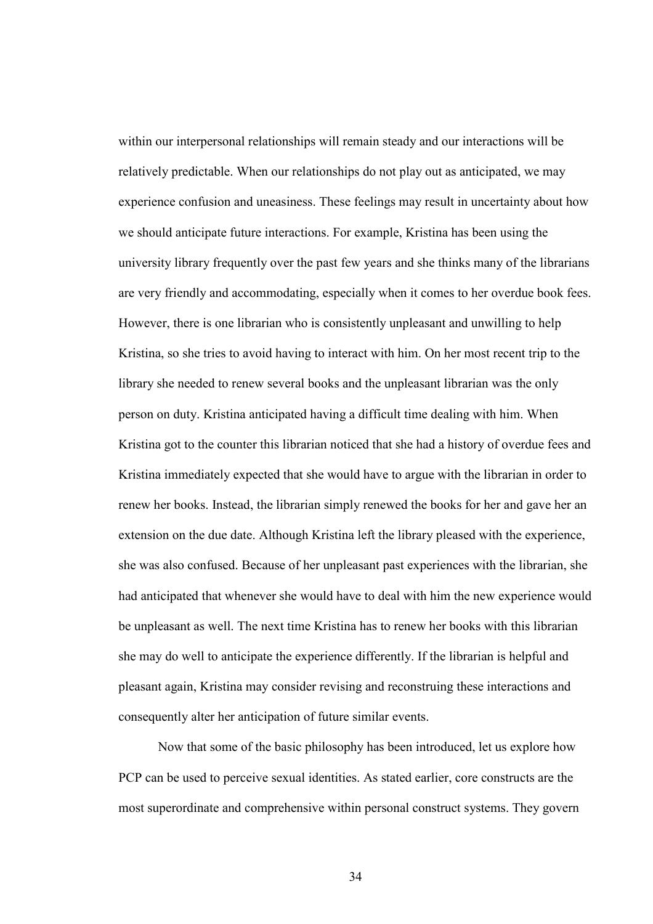within our interpersonal relationships will remain steady and our interactions will be relatively predictable. When our relationships do not play out as anticipated, we may experience confusion and uneasiness. These feelings may result in uncertainty about how we should anticipate future interactions. For example, Kristina has been using the university library frequently over the past few years and she thinks many of the librarians are very friendly and accommodating, especially when it comes to her overdue book fees. However, there is one librarian who is consistently unpleasant and unwilling to help Kristina, so she tries to avoid having to interact with him. On her most recent trip to the library she needed to renew several books and the unpleasant librarian was the only person on duty. Kristina anticipated having a difficult time dealing with him. When Kristina got to the counter this librarian noticed that she had a history of overdue fees and Kristina immediately expected that she would have to argue with the librarian in order to renew her books. Instead, the librarian simply renewed the books for her and gave her an extension on the due date. Although Kristina left the library pleased with the experience, she was also confused. Because of her unpleasant past experiences with the librarian, she had anticipated that whenever she would have to deal with him the new experience would be unpleasant as well. The next time Kristina has to renew her books with this librarian she may do well to anticipate the experience differently. If the librarian is helpful and pleasant again, Kristina may consider revising and reconstruing these interactions and consequently alter her anticipation of future similar events.

 Now that some of the basic philosophy has been introduced, let us explore how PCP can be used to perceive sexual identities. As stated earlier, core constructs are the most superordinate and comprehensive within personal construct systems. They govern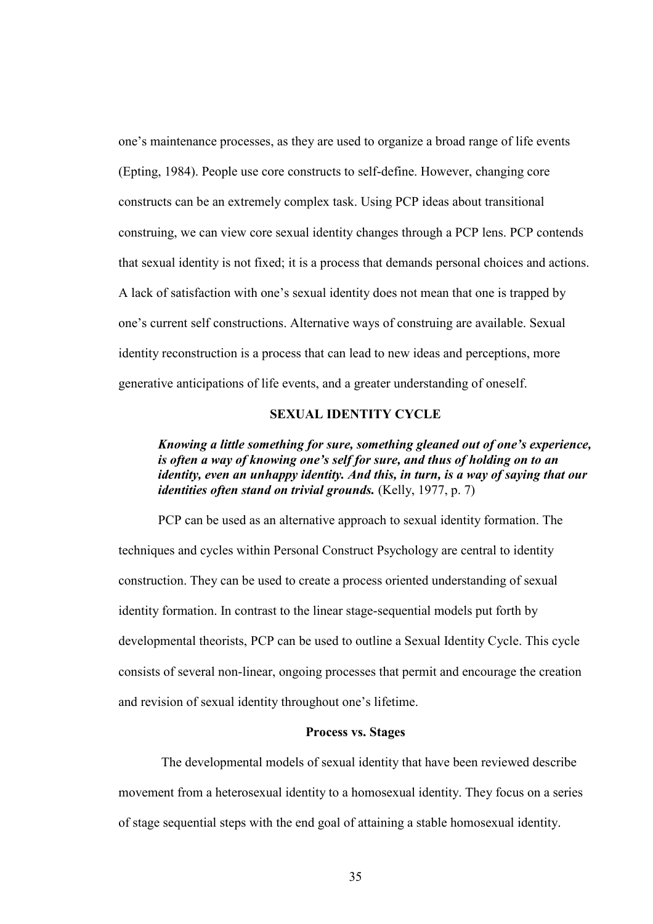one's maintenance processes, as they are used to organize a broad range of life events (Epting, 1984). People use core constructs to self-define. However, changing core constructs can be an extremely complex task. Using PCP ideas about transitional construing, we can view core sexual identity changes through a PCP lens. PCP contends that sexual identity is not fixed; it is a process that demands personal choices and actions. A lack of satisfaction with one's sexual identity does not mean that one is trapped by one's current self constructions. Alternative ways of construing are available. Sexual identity reconstruction is a process that can lead to new ideas and perceptions, more generative anticipations of life events, and a greater understanding of oneself.

#### SEXUAL IDENTITY CYCLE

# Knowing a little something for sure, something gleaned out of one's experience, is often a way of knowing one's self for sure, and thus of holding on to an identity, even an unhappy identity. And this, in turn, is a way of saying that our *identities often stand on trivial grounds.* (Kelly, 1977, p. 7)

 PCP can be used as an alternative approach to sexual identity formation. The techniques and cycles within Personal Construct Psychology are central to identity construction. They can be used to create a process oriented understanding of sexual identity formation. In contrast to the linear stage-sequential models put forth by developmental theorists, PCP can be used to outline a Sexual Identity Cycle. This cycle consists of several non-linear, ongoing processes that permit and encourage the creation and revision of sexual identity throughout one's lifetime.

#### Process vs. Stages

 The developmental models of sexual identity that have been reviewed describe movement from a heterosexual identity to a homosexual identity. They focus on a series of stage sequential steps with the end goal of attaining a stable homosexual identity.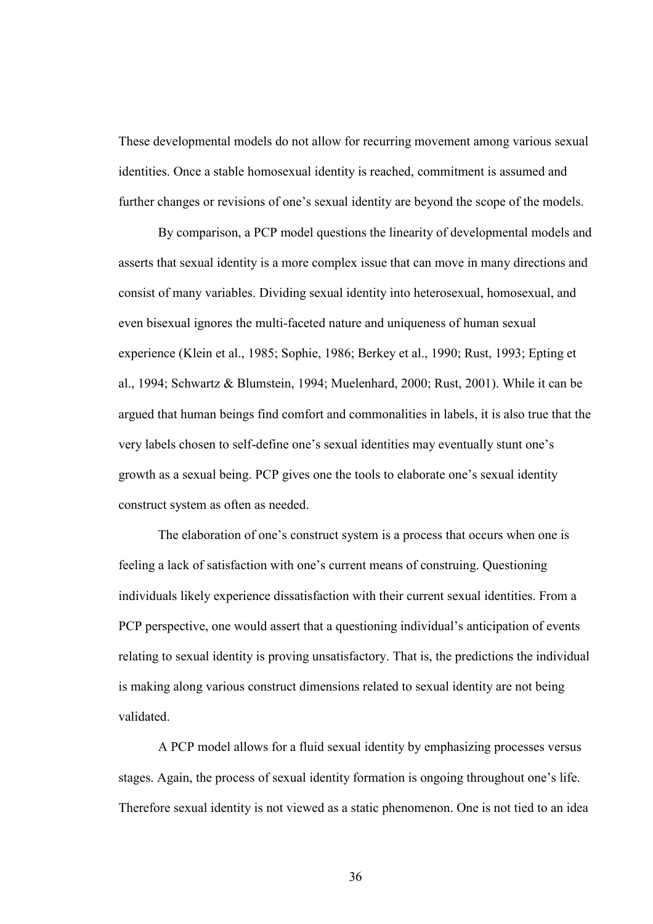These developmental models do not allow for recurring movement among various sexual identities. Once a stable homosexual identity is reached, commitment is assumed and further changes or revisions of one's sexual identity are beyond the scope of the models.

 By comparison, a PCP model questions the linearity of developmental models and asserts that sexual identity is a more complex issue that can move in many directions and consist of many variables. Dividing sexual identity into heterosexual, homosexual, and even bisexual ignores the multi-faceted nature and uniqueness of human sexual experience (Klein et al., 1985; Sophie, 1986; Berkey et al., 1990; Rust, 1993; Epting et al., 1994; Schwartz & Blumstein, 1994; Muelenhard, 2000; Rust, 2001). While it can be argued that human beings find comfort and commonalities in labels, it is also true that the very labels chosen to self-define one's sexual identities may eventually stunt one's growth as a sexual being. PCP gives one the tools to elaborate one's sexual identity construct system as often as needed.

 The elaboration of one's construct system is a process that occurs when one is feeling a lack of satisfaction with one's current means of construing. Questioning individuals likely experience dissatisfaction with their current sexual identities. From a PCP perspective, one would assert that a questioning individual's anticipation of events relating to sexual identity is proving unsatisfactory. That is, the predictions the individual is making along various construct dimensions related to sexual identity are not being validated.

 A PCP model allows for a fluid sexual identity by emphasizing processes versus stages. Again, the process of sexual identity formation is ongoing throughout one's life. Therefore sexual identity is not viewed as a static phenomenon. One is not tied to an idea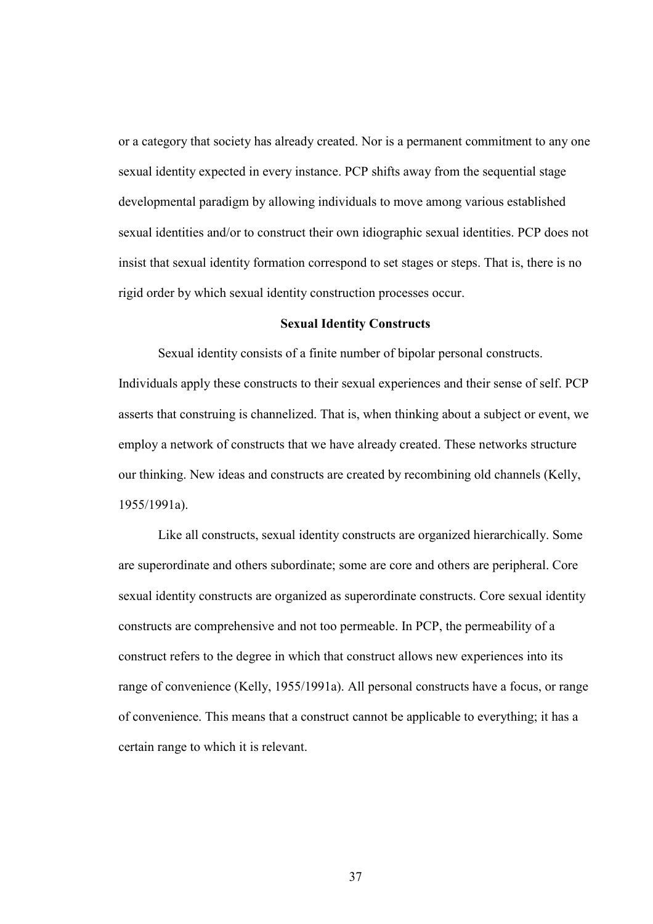or a category that society has already created. Nor is a permanent commitment to any one sexual identity expected in every instance. PCP shifts away from the sequential stage developmental paradigm by allowing individuals to move among various established sexual identities and/or to construct their own idiographic sexual identities. PCP does not insist that sexual identity formation correspond to set stages or steps. That is, there is no rigid order by which sexual identity construction processes occur.

#### Sexual Identity Constructs

Sexual identity consists of a finite number of bipolar personal constructs. Individuals apply these constructs to their sexual experiences and their sense of self. PCP asserts that construing is channelized. That is, when thinking about a subject or event, we employ a network of constructs that we have already created. These networks structure our thinking. New ideas and constructs are created by recombining old channels (Kelly, 1955/1991a).

 Like all constructs, sexual identity constructs are organized hierarchically. Some are superordinate and others subordinate; some are core and others are peripheral. Core sexual identity constructs are organized as superordinate constructs. Core sexual identity constructs are comprehensive and not too permeable. In PCP, the permeability of a construct refers to the degree in which that construct allows new experiences into its range of convenience (Kelly, 1955/1991a). All personal constructs have a focus, or range of convenience. This means that a construct cannot be applicable to everything; it has a certain range to which it is relevant.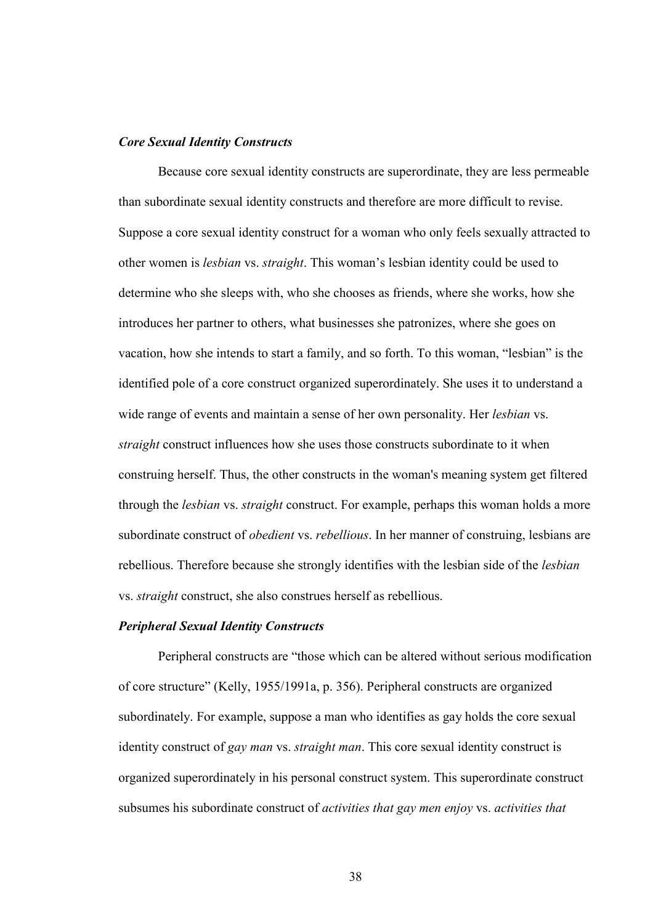#### Core Sexual Identity Constructs

Because core sexual identity constructs are superordinate, they are less permeable than subordinate sexual identity constructs and therefore are more difficult to revise. Suppose a core sexual identity construct for a woman who only feels sexually attracted to other women is *lesbian* vs. *straight*. This woman's lesbian identity could be used to determine who she sleeps with, who she chooses as friends, where she works, how she introduces her partner to others, what businesses she patronizes, where she goes on vacation, how she intends to start a family, and so forth. To this woman, "lesbian" is the identified pole of a core construct organized superordinately. She uses it to understand a wide range of events and maintain a sense of her own personality. Her *lesbian* vs. *straight* construct influences how she uses those constructs subordinate to it when construing herself. Thus, the other constructs in the woman's meaning system get filtered through the *lesbian* vs. *straight* construct. For example, perhaps this woman holds a more subordinate construct of *obedient* vs. *rebellious*. In her manner of construing, lesbians are rebellious. Therefore because she strongly identifies with the lesbian side of the *lesbian* vs. *straight* construct, she also construes herself as rebellious.

#### Peripheral Sexual Identity Constructs

Peripheral constructs are "those which can be altered without serious modification of core structure" (Kelly, 1955/1991a, p. 356). Peripheral constructs are organized subordinately. For example, suppose a man who identifies as gay holds the core sexual identity construct of *gay man* vs. *straight man*. This core sexual identity construct is organized superordinately in his personal construct system. This superordinate construct subsumes his subordinate construct of *activities that gay men enjoy* vs. *activities that*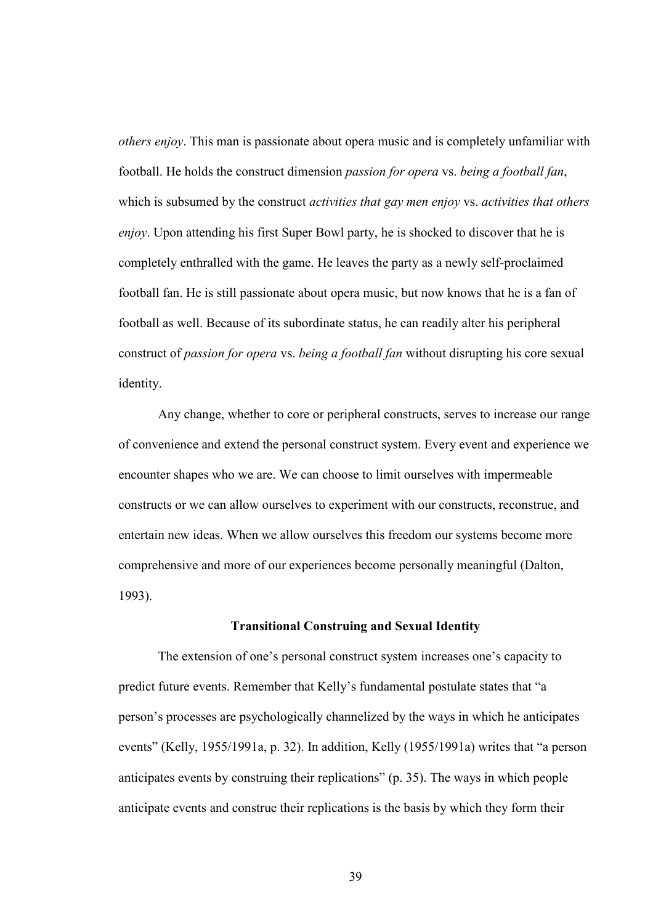*others enjoy*. This man is passionate about opera music and is completely unfamiliar with football. He holds the construct dimension *passion for opera* vs. *being a football fan*, which is subsumed by the construct *activities that gay men enjoy* vs. *activities that others enjoy*. Upon attending his first Super Bowl party, he is shocked to discover that he is completely enthralled with the game. He leaves the party as a newly self-proclaimed football fan. He is still passionate about opera music, but now knows that he is a fan of football as well. Because of its subordinate status, he can readily alter his peripheral construct of *passion for opera* vs. *being a football fan* without disrupting his core sexual identity.

 Any change, whether to core or peripheral constructs, serves to increase our range of convenience and extend the personal construct system. Every event and experience we encounter shapes who we are. We can choose to limit ourselves with impermeable constructs or we can allow ourselves to experiment with our constructs, reconstrue, and entertain new ideas. When we allow ourselves this freedom our systems become more comprehensive and more of our experiences become personally meaningful (Dalton, 1993).

#### Transitional Construing and Sexual Identity

 The extension of one's personal construct system increases one's capacity to predict future events. Remember that Kelly's fundamental postulate states that "a person's processes are psychologically channelized by the ways in which he anticipates events" (Kelly, 1955/1991a, p. 32). In addition, Kelly (1955/1991a) writes that "a person anticipates events by construing their replications" (p. 35). The ways in which people anticipate events and construe their replications is the basis by which they form their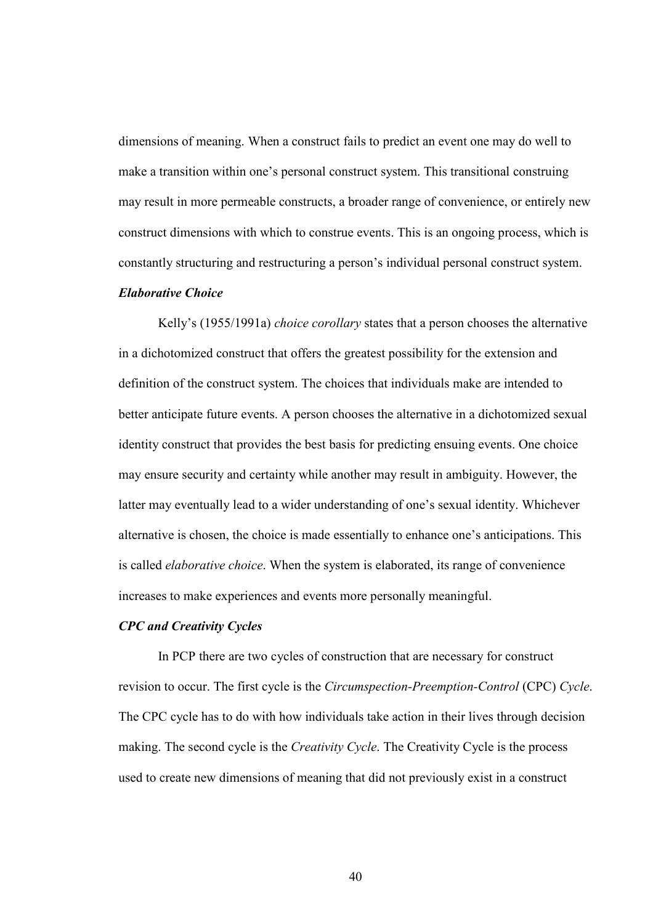dimensions of meaning. When a construct fails to predict an event one may do well to make a transition within one's personal construct system. This transitional construing may result in more permeable constructs, a broader range of convenience, or entirely new construct dimensions with which to construe events. This is an ongoing process, which is constantly structuring and restructuring a person's individual personal construct system.

#### Elaborative Choice

Kelly's (1955/1991a) *choice corollary* states that a person chooses the alternative in a dichotomized construct that offers the greatest possibility for the extension and definition of the construct system. The choices that individuals make are intended to better anticipate future events. A person chooses the alternative in a dichotomized sexual identity construct that provides the best basis for predicting ensuing events. One choice may ensure security and certainty while another may result in ambiguity. However, the latter may eventually lead to a wider understanding of one's sexual identity. Whichever alternative is chosen, the choice is made essentially to enhance one's anticipations. This is called *elaborative choice*. When the system is elaborated, its range of convenience increases to make experiences and events more personally meaningful.

#### CPC and Creativity Cycles

 In PCP there are two cycles of construction that are necessary for construct revision to occur. The first cycle is the *Circumspection-Preemption-Control* (CPC) *Cycle*. The CPC cycle has to do with how individuals take action in their lives through decision making. The second cycle is the *Creativity Cycle*. The Creativity Cycle is the process used to create new dimensions of meaning that did not previously exist in a construct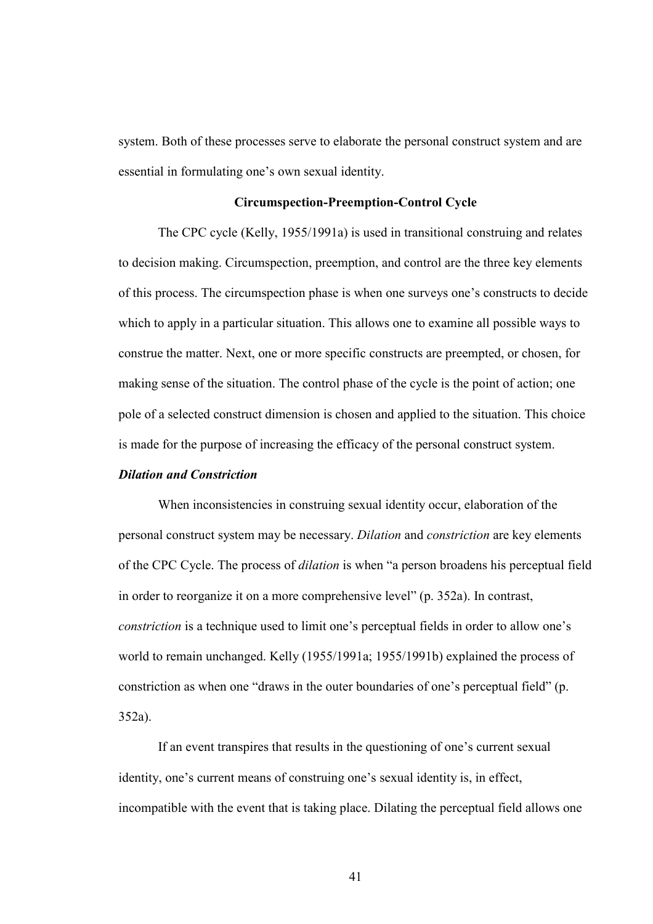system. Both of these processes serve to elaborate the personal construct system and are essential in formulating one's own sexual identity.

#### Circumspection-Preemption-Control Cycle

 The CPC cycle (Kelly, 1955/1991a) is used in transitional construing and relates to decision making. Circumspection, preemption, and control are the three key elements of this process. The circumspection phase is when one surveys one's constructs to decide which to apply in a particular situation. This allows one to examine all possible ways to construe the matter. Next, one or more specific constructs are preempted, or chosen, for making sense of the situation. The control phase of the cycle is the point of action; one pole of a selected construct dimension is chosen and applied to the situation. This choice is made for the purpose of increasing the efficacy of the personal construct system.

#### Dilation and Constriction

When inconsistencies in construing sexual identity occur, elaboration of the personal construct system may be necessary. *Dilation* and *constriction* are key elements of the CPC Cycle. The process of *dilation* is when "a person broadens his perceptual field in order to reorganize it on a more comprehensive level" (p. 352a). In contrast, *constriction* is a technique used to limit one's perceptual fields in order to allow one's world to remain unchanged. Kelly (1955/1991a; 1955/1991b) explained the process of constriction as when one "draws in the outer boundaries of one's perceptual field" (p. 352a).

 If an event transpires that results in the questioning of one's current sexual identity, one's current means of construing one's sexual identity is, in effect, incompatible with the event that is taking place. Dilating the perceptual field allows one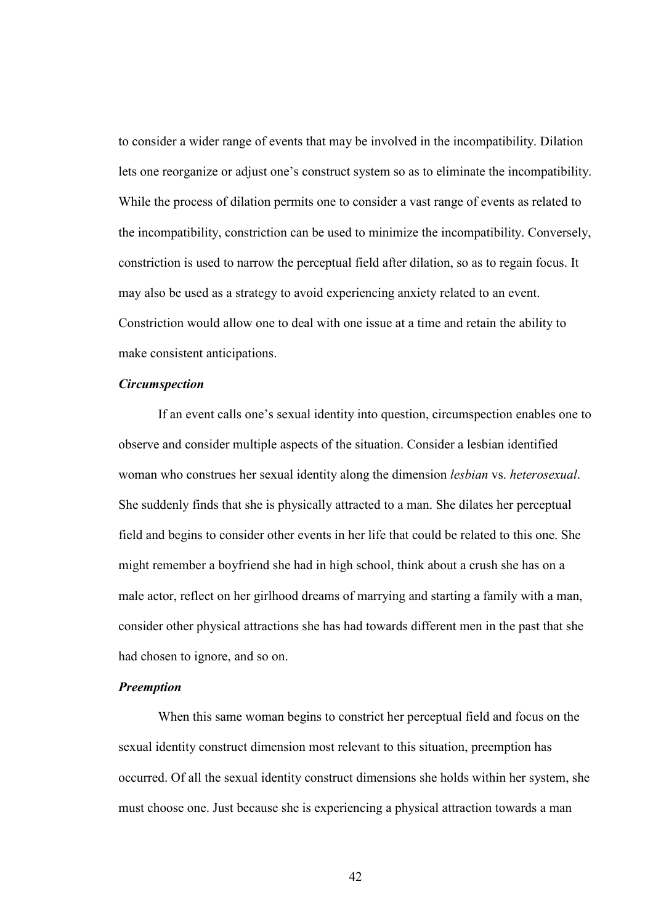to consider a wider range of events that may be involved in the incompatibility. Dilation lets one reorganize or adjust one's construct system so as to eliminate the incompatibility. While the process of dilation permits one to consider a vast range of events as related to the incompatibility, constriction can be used to minimize the incompatibility. Conversely, constriction is used to narrow the perceptual field after dilation, so as to regain focus. It may also be used as a strategy to avoid experiencing anxiety related to an event. Constriction would allow one to deal with one issue at a time and retain the ability to make consistent anticipations.

#### **Circumspection**

If an event calls one's sexual identity into question, circumspection enables one to observe and consider multiple aspects of the situation. Consider a lesbian identified woman who construes her sexual identity along the dimension *lesbian* vs. *heterosexual*. She suddenly finds that she is physically attracted to a man. She dilates her perceptual field and begins to consider other events in her life that could be related to this one. She might remember a boyfriend she had in high school, think about a crush she has on a male actor, reflect on her girlhood dreams of marrying and starting a family with a man, consider other physical attractions she has had towards different men in the past that she had chosen to ignore, and so on.

# Preemption

When this same woman begins to constrict her perceptual field and focus on the sexual identity construct dimension most relevant to this situation, preemption has occurred. Of all the sexual identity construct dimensions she holds within her system, she must choose one. Just because she is experiencing a physical attraction towards a man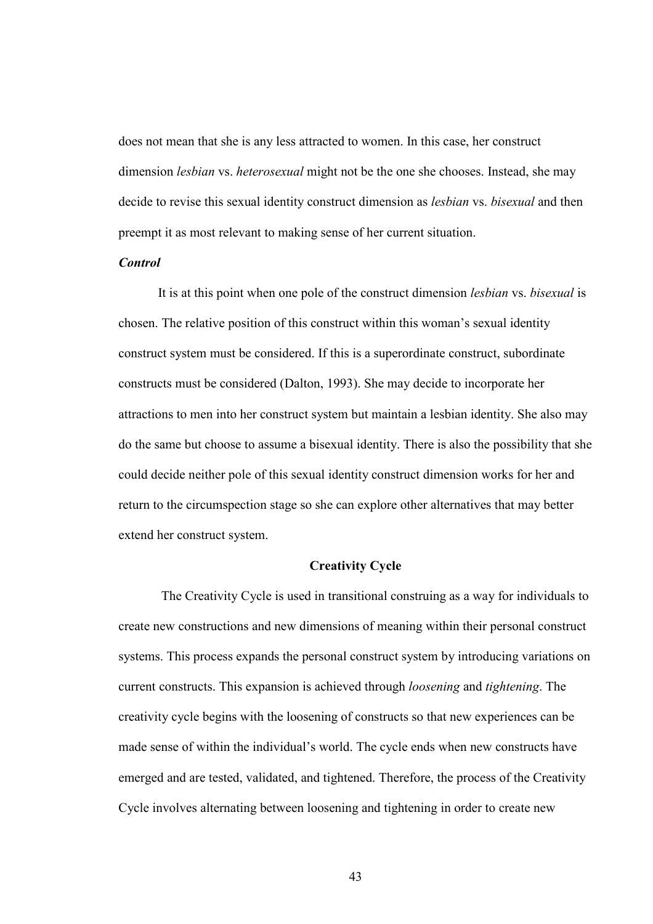does not mean that she is any less attracted to women. In this case, her construct dimension *lesbian* vs. *heterosexual* might not be the one she chooses. Instead, she may decide to revise this sexual identity construct dimension as *lesbian* vs. *bisexual* and then preempt it as most relevant to making sense of her current situation.

#### Control

It is at this point when one pole of the construct dimension *lesbian* vs. *bisexual* is chosen. The relative position of this construct within this woman's sexual identity construct system must be considered. If this is a superordinate construct, subordinate constructs must be considered (Dalton, 1993). She may decide to incorporate her attractions to men into her construct system but maintain a lesbian identity. She also may do the same but choose to assume a bisexual identity. There is also the possibility that she could decide neither pole of this sexual identity construct dimension works for her and return to the circumspection stage so she can explore other alternatives that may better extend her construct system.

#### Creativity Cycle

 The Creativity Cycle is used in transitional construing as a way for individuals to create new constructions and new dimensions of meaning within their personal construct systems. This process expands the personal construct system by introducing variations on current constructs. This expansion is achieved through *loosening* and *tightening*. The creativity cycle begins with the loosening of constructs so that new experiences can be made sense of within the individual's world. The cycle ends when new constructs have emerged and are tested, validated, and tightened. Therefore, the process of the Creativity Cycle involves alternating between loosening and tightening in order to create new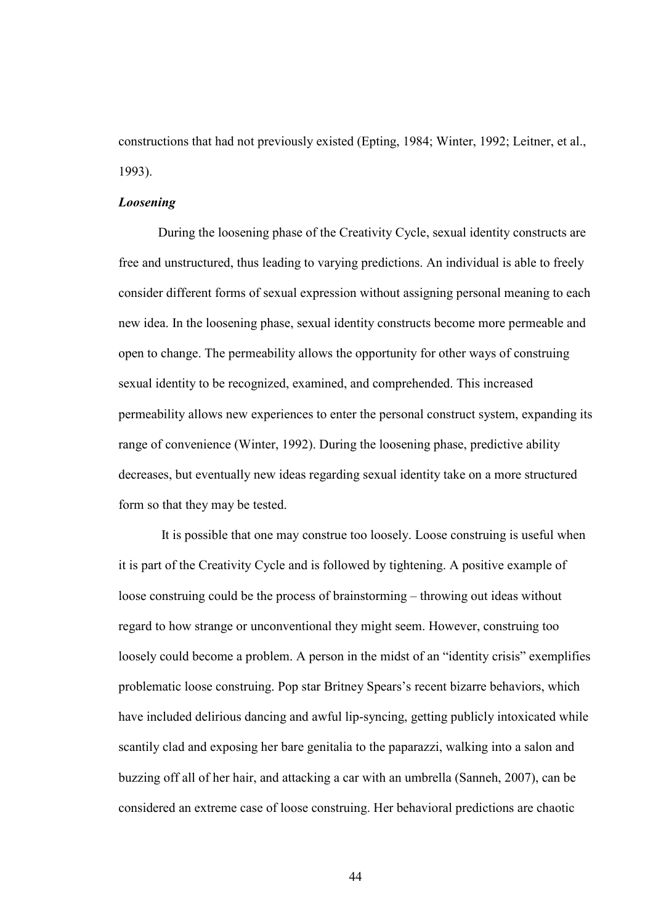constructions that had not previously existed (Epting, 1984; Winter, 1992; Leitner, et al., 1993).

#### Loosening

During the loosening phase of the Creativity Cycle, sexual identity constructs are free and unstructured, thus leading to varying predictions. An individual is able to freely consider different forms of sexual expression without assigning personal meaning to each new idea. In the loosening phase, sexual identity constructs become more permeable and open to change. The permeability allows the opportunity for other ways of construing sexual identity to be recognized, examined, and comprehended. This increased permeability allows new experiences to enter the personal construct system, expanding its range of convenience (Winter, 1992). During the loosening phase, predictive ability decreases, but eventually new ideas regarding sexual identity take on a more structured form so that they may be tested.

 It is possible that one may construe too loosely. Loose construing is useful when it is part of the Creativity Cycle and is followed by tightening. A positive example of loose construing could be the process of brainstorming – throwing out ideas without regard to how strange or unconventional they might seem. However, construing too loosely could become a problem. A person in the midst of an "identity crisis" exemplifies problematic loose construing. Pop star Britney Spears's recent bizarre behaviors, which have included delirious dancing and awful lip-syncing, getting publicly intoxicated while scantily clad and exposing her bare genitalia to the paparazzi, walking into a salon and buzzing off all of her hair, and attacking a car with an umbrella (Sanneh, 2007), can be considered an extreme case of loose construing. Her behavioral predictions are chaotic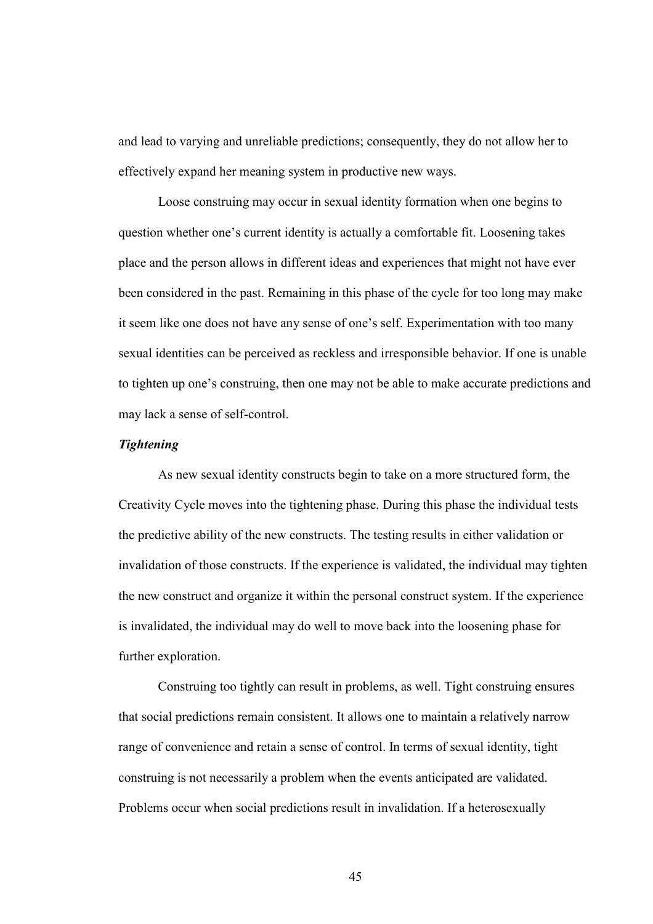and lead to varying and unreliable predictions; consequently, they do not allow her to effectively expand her meaning system in productive new ways.

 Loose construing may occur in sexual identity formation when one begins to question whether one's current identity is actually a comfortable fit. Loosening takes place and the person allows in different ideas and experiences that might not have ever been considered in the past. Remaining in this phase of the cycle for too long may make it seem like one does not have any sense of one's self. Experimentation with too many sexual identities can be perceived as reckless and irresponsible behavior. If one is unable to tighten up one's construing, then one may not be able to make accurate predictions and may lack a sense of self-control.

#### Tightening

As new sexual identity constructs begin to take on a more structured form, the Creativity Cycle moves into the tightening phase. During this phase the individual tests the predictive ability of the new constructs. The testing results in either validation or invalidation of those constructs. If the experience is validated, the individual may tighten the new construct and organize it within the personal construct system. If the experience is invalidated, the individual may do well to move back into the loosening phase for further exploration.

Construing too tightly can result in problems, as well. Tight construing ensures that social predictions remain consistent. It allows one to maintain a relatively narrow range of convenience and retain a sense of control. In terms of sexual identity, tight construing is not necessarily a problem when the events anticipated are validated. Problems occur when social predictions result in invalidation. If a heterosexually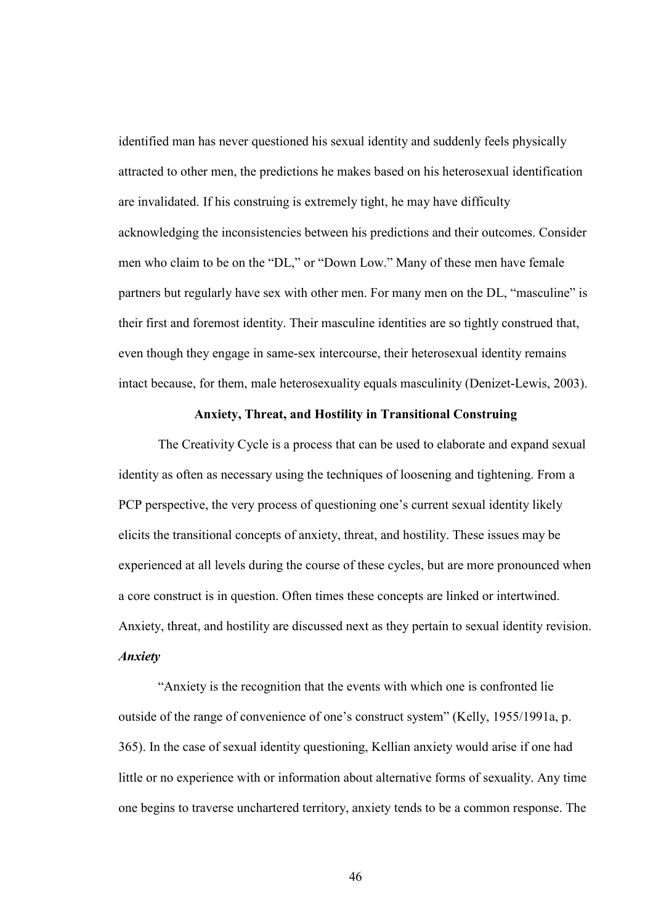identified man has never questioned his sexual identity and suddenly feels physically attracted to other men, the predictions he makes based on his heterosexual identification are invalidated. If his construing is extremely tight, he may have difficulty acknowledging the inconsistencies between his predictions and their outcomes. Consider men who claim to be on the "DL," or "Down Low." Many of these men have female partners but regularly have sex with other men. For many men on the DL, "masculine" is their first and foremost identity. Their masculine identities are so tightly construed that, even though they engage in same-sex intercourse, their heterosexual identity remains intact because, for them, male heterosexuality equals masculinity (Denizet-Lewis, 2003).

#### Anxiety, Threat, and Hostility in Transitional Construing

The Creativity Cycle is a process that can be used to elaborate and expand sexual identity as often as necessary using the techniques of loosening and tightening. From a PCP perspective, the very process of questioning one's current sexual identity likely elicits the transitional concepts of anxiety, threat, and hostility. These issues may be experienced at all levels during the course of these cycles, but are more pronounced when a core construct is in question. Often times these concepts are linked or intertwined. Anxiety, threat, and hostility are discussed next as they pertain to sexual identity revision. Anxiety

"Anxiety is the recognition that the events with which one is confronted lie outside of the range of convenience of one's construct system" (Kelly, 1955/1991a, p. 365). In the case of sexual identity questioning, Kellian anxiety would arise if one had little or no experience with or information about alternative forms of sexuality. Any time one begins to traverse unchartered territory, anxiety tends to be a common response. The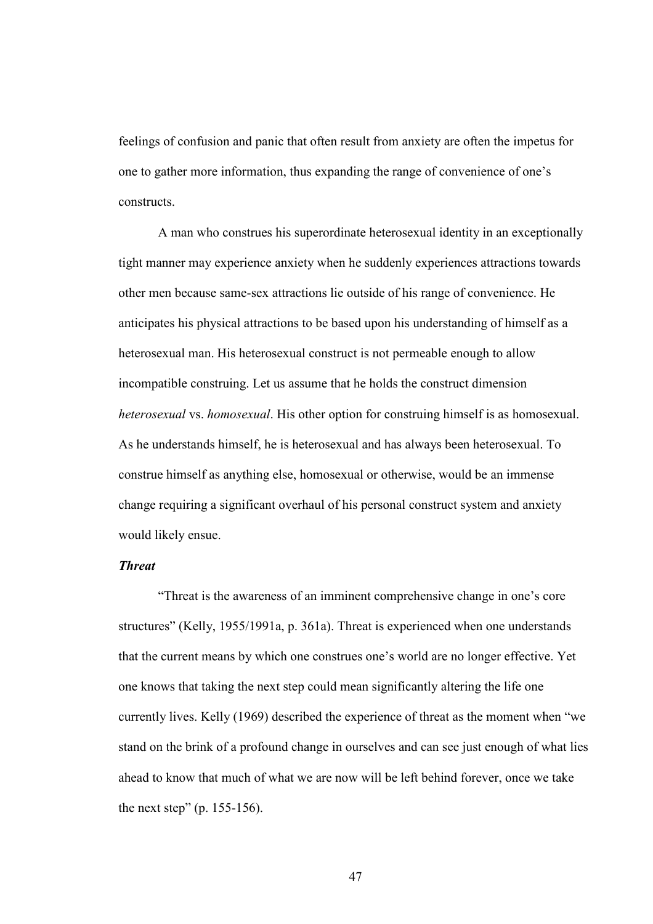feelings of confusion and panic that often result from anxiety are often the impetus for one to gather more information, thus expanding the range of convenience of one's constructs.

 A man who construes his superordinate heterosexual identity in an exceptionally tight manner may experience anxiety when he suddenly experiences attractions towards other men because same-sex attractions lie outside of his range of convenience. He anticipates his physical attractions to be based upon his understanding of himself as a heterosexual man. His heterosexual construct is not permeable enough to allow incompatible construing. Let us assume that he holds the construct dimension *heterosexual* vs. *homosexual*. His other option for construing himself is as homosexual. As he understands himself, he is heterosexual and has always been heterosexual. To construe himself as anything else, homosexual or otherwise, would be an immense change requiring a significant overhaul of his personal construct system and anxiety would likely ensue.

#### Threat

"Threat is the awareness of an imminent comprehensive change in one's core structures" (Kelly, 1955/1991a, p. 361a). Threat is experienced when one understands that the current means by which one construes one's world are no longer effective. Yet one knows that taking the next step could mean significantly altering the life one currently lives. Kelly (1969) described the experience of threat as the moment when "we stand on the brink of a profound change in ourselves and can see just enough of what lies ahead to know that much of what we are now will be left behind forever, once we take the next step" (p. 155-156).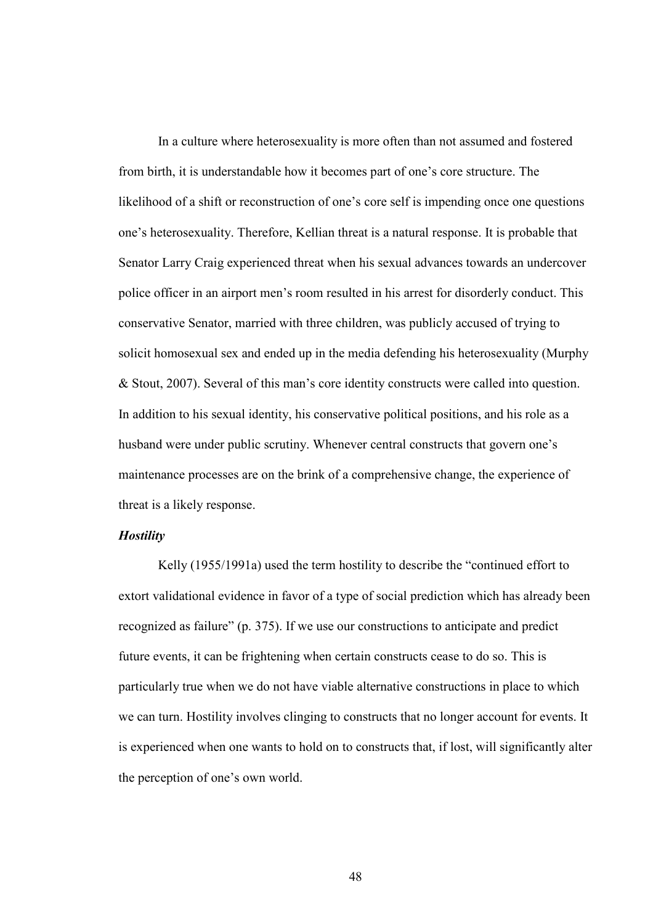In a culture where heterosexuality is more often than not assumed and fostered from birth, it is understandable how it becomes part of one's core structure. The likelihood of a shift or reconstruction of one's core self is impending once one questions one's heterosexuality. Therefore, Kellian threat is a natural response. It is probable that Senator Larry Craig experienced threat when his sexual advances towards an undercover police officer in an airport men's room resulted in his arrest for disorderly conduct. This conservative Senator, married with three children, was publicly accused of trying to solicit homosexual sex and ended up in the media defending his heterosexuality (Murphy & Stout, 2007). Several of this man's core identity constructs were called into question. In addition to his sexual identity, his conservative political positions, and his role as a husband were under public scrutiny. Whenever central constructs that govern one's maintenance processes are on the brink of a comprehensive change, the experience of threat is a likely response.

#### **Hostility**

Kelly (1955/1991a) used the term hostility to describe the "continued effort to extort validational evidence in favor of a type of social prediction which has already been recognized as failure" (p. 375). If we use our constructions to anticipate and predict future events, it can be frightening when certain constructs cease to do so. This is particularly true when we do not have viable alternative constructions in place to which we can turn. Hostility involves clinging to constructs that no longer account for events. It is experienced when one wants to hold on to constructs that, if lost, will significantly alter the perception of one's own world.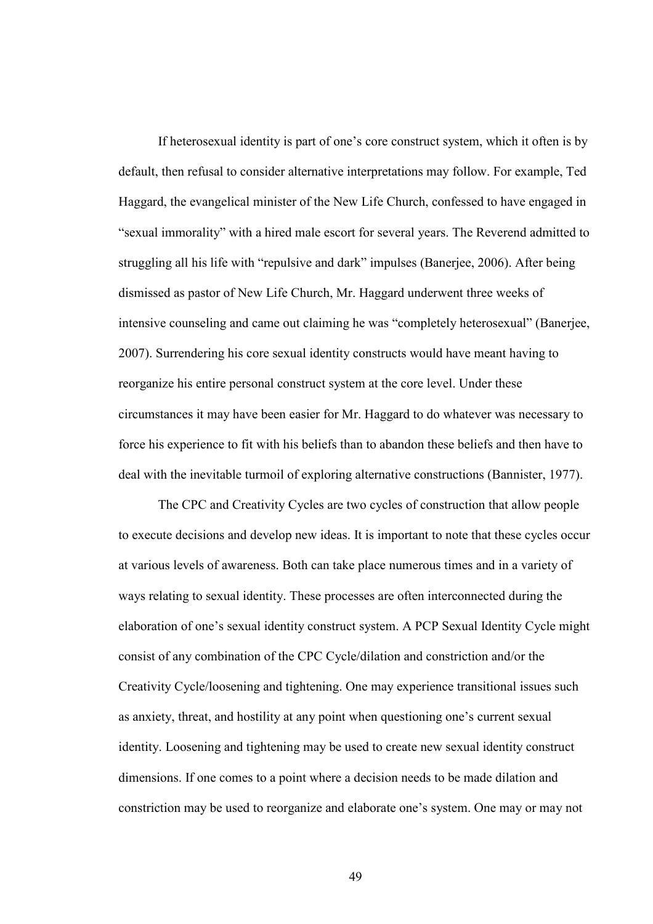If heterosexual identity is part of one's core construct system, which it often is by default, then refusal to consider alternative interpretations may follow. For example, Ted Haggard, the evangelical minister of the New Life Church, confessed to have engaged in "sexual immorality" with a hired male escort for several years. The Reverend admitted to struggling all his life with "repulsive and dark" impulses (Banerjee, 2006). After being dismissed as pastor of New Life Church, Mr. Haggard underwent three weeks of intensive counseling and came out claiming he was "completely heterosexual" (Banerjee, 2007). Surrendering his core sexual identity constructs would have meant having to reorganize his entire personal construct system at the core level. Under these circumstances it may have been easier for Mr. Haggard to do whatever was necessary to force his experience to fit with his beliefs than to abandon these beliefs and then have to deal with the inevitable turmoil of exploring alternative constructions (Bannister, 1977).

 The CPC and Creativity Cycles are two cycles of construction that allow people to execute decisions and develop new ideas. It is important to note that these cycles occur at various levels of awareness. Both can take place numerous times and in a variety of ways relating to sexual identity. These processes are often interconnected during the elaboration of one's sexual identity construct system. A PCP Sexual Identity Cycle might consist of any combination of the CPC Cycle/dilation and constriction and/or the Creativity Cycle/loosening and tightening. One may experience transitional issues such as anxiety, threat, and hostility at any point when questioning one's current sexual identity. Loosening and tightening may be used to create new sexual identity construct dimensions. If one comes to a point where a decision needs to be made dilation and constriction may be used to reorganize and elaborate one's system. One may or may not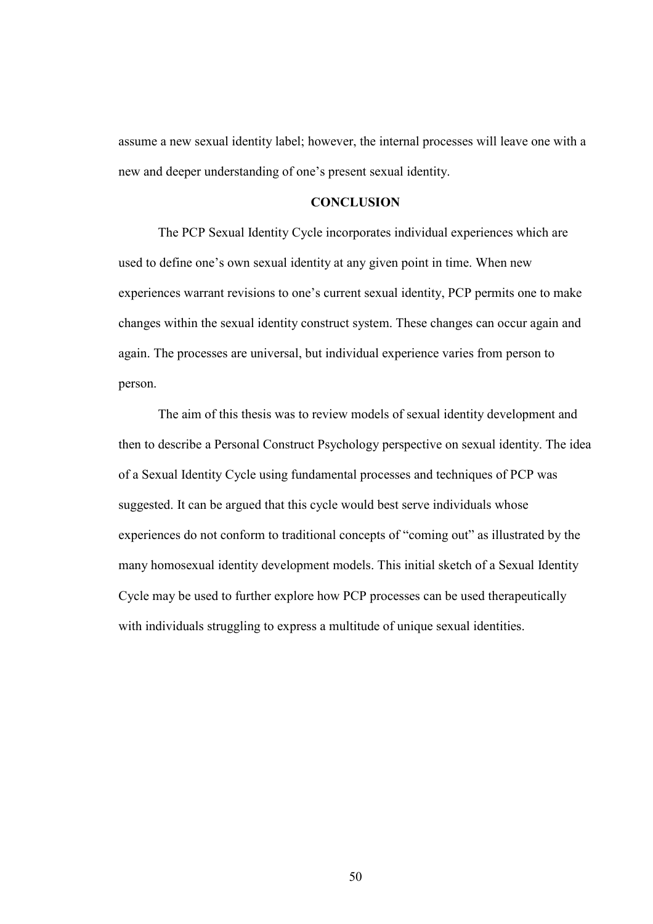assume a new sexual identity label; however, the internal processes will leave one with a new and deeper understanding of one's present sexual identity.

## **CONCLUSION**

 The PCP Sexual Identity Cycle incorporates individual experiences which are used to define one's own sexual identity at any given point in time. When new experiences warrant revisions to one's current sexual identity, PCP permits one to make changes within the sexual identity construct system. These changes can occur again and again. The processes are universal, but individual experience varies from person to person.

 The aim of this thesis was to review models of sexual identity development and then to describe a Personal Construct Psychology perspective on sexual identity. The idea of a Sexual Identity Cycle using fundamental processes and techniques of PCP was suggested. It can be argued that this cycle would best serve individuals whose experiences do not conform to traditional concepts of "coming out" as illustrated by the many homosexual identity development models. This initial sketch of a Sexual Identity Cycle may be used to further explore how PCP processes can be used therapeutically with individuals struggling to express a multitude of unique sexual identities.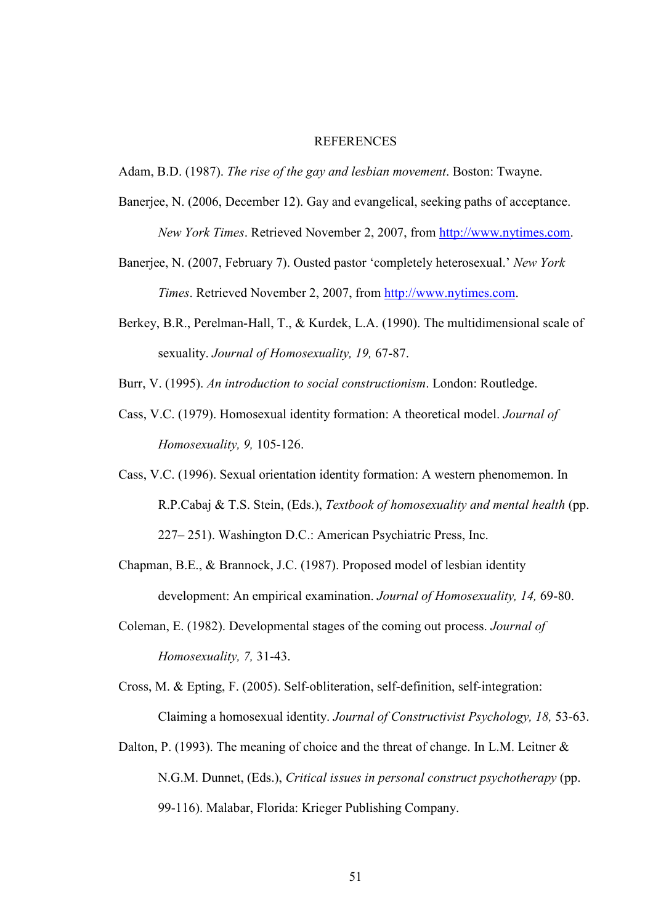#### **REFERENCES**

Adam, B.D. (1987). *The rise of the gay and lesbian movement*. Boston: Twayne.

- Banerjee, N. (2006, December 12). Gay and evangelical, seeking paths of acceptance. *New York Times*. Retrieved November 2, 2007, from http://www.nytimes.com.
- Banerjee, N. (2007, February 7). Ousted pastor 'completely heterosexual.' *New York Times*. Retrieved November 2, 2007, from http://www.nytimes.com.
- Berkey, B.R., Perelman-Hall, T., & Kurdek, L.A. (1990). The multidimensional scale of sexuality. *Journal of Homosexuality, 19,* 67-87.
- Burr, V. (1995). *An introduction to social constructionism*. London: Routledge.
- Cass, V.C. (1979). Homosexual identity formation: A theoretical model. *Journal of Homosexuality, 9,* 105-126.
- Cass, V.C. (1996). Sexual orientation identity formation: A western phenomemon. In R.P.Cabaj & T.S. Stein, (Eds.), *Textbook of homosexuality and mental health* (pp. 227– 251). Washington D.C.: American Psychiatric Press, Inc.
- Chapman, B.E., & Brannock, J.C. (1987). Proposed model of lesbian identity development: An empirical examination. *Journal of Homosexuality, 14,* 69-80.
- Coleman, E. (1982). Developmental stages of the coming out process. *Journal of Homosexuality, 7,* 31-43.
- Cross, M. & Epting, F. (2005). Self-obliteration, self-definition, self-integration: Claiming a homosexual identity. *Journal of Constructivist Psychology, 18,* 53-63.
- Dalton, P. (1993). The meaning of choice and the threat of change. In L.M. Leitner  $\&$  N.G.M. Dunnet, (Eds.), *Critical issues in personal construct psychotherapy* (pp. 99-116). Malabar, Florida: Krieger Publishing Company.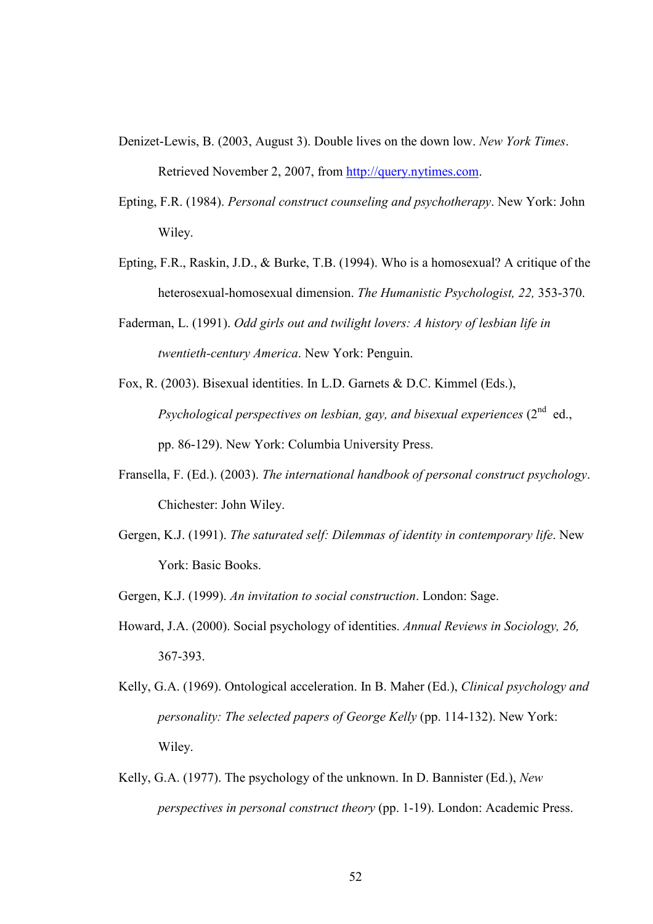- Denizet-Lewis, B. (2003, August 3). Double lives on the down low. *New York Times*. Retrieved November 2, 2007, from http://query.nytimes.com.
- Epting, F.R. (1984). *Personal construct counseling and psychotherapy*. New York: John Wiley.
- Epting, F.R., Raskin, J.D., & Burke, T.B. (1994). Who is a homosexual? A critique of the heterosexual-homosexual dimension. *The Humanistic Psychologist, 22,* 353-370.
- Faderman, L. (1991). *Odd girls out and twilight lovers: A history of lesbian life in twentieth-century America*. New York: Penguin.
- Fox, R. (2003). Bisexual identities. In L.D. Garnets & D.C. Kimmel (Eds.), *Psychological perspectives on lesbian, gay, and bisexual experiences*  $(2^{nd}$  ed., pp. 86-129). New York: Columbia University Press.
- Fransella, F. (Ed.). (2003). *The international handbook of personal construct psychology*. Chichester: John Wiley.
- Gergen, K.J. (1991). *The saturated self: Dilemmas of identity in contemporary life*. New York: Basic Books.

Gergen, K.J. (1999). *An invitation to social construction*. London: Sage.

- Howard, J.A. (2000). Social psychology of identities. *Annual Reviews in Sociology, 26,* 367-393.
- Kelly, G.A. (1969). Ontological acceleration. In B. Maher (Ed.), *Clinical psychology and personality: The selected papers of George Kelly* (pp. 114-132). New York: Wiley.
- Kelly, G.A. (1977). The psychology of the unknown. In D. Bannister (Ed.), *New perspectives in personal construct theory* (pp. 1-19). London: Academic Press.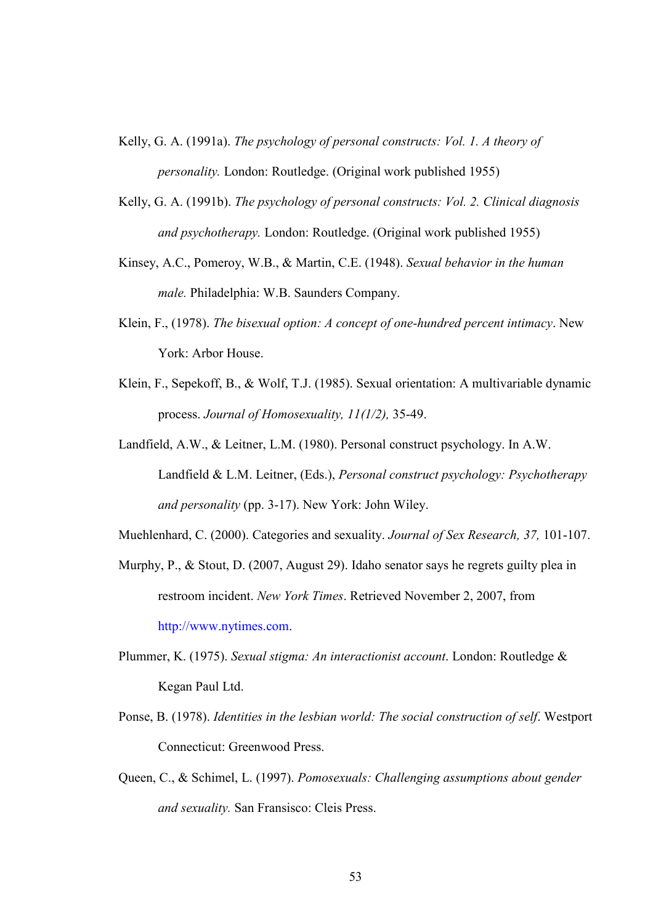- Kelly, G. A. (1991a). *The psychology of personal constructs: Vol. 1. A theory of personality.* London: Routledge. (Original work published 1955)
- Kelly, G. A. (1991b). *The psychology of personal constructs: Vol. 2. Clinical diagnosis and psychotherapy.* London: Routledge. (Original work published 1955)
- Kinsey, A.C., Pomeroy, W.B., & Martin, C.E. (1948). *Sexual behavior in the human male.* Philadelphia: W.B. Saunders Company.
- Klein, F., (1978). *The bisexual option: A concept of one-hundred percent intimacy*. New York: Arbor House.
- Klein, F., Sepekoff, B., & Wolf, T.J. (1985). Sexual orientation: A multivariable dynamic process. *Journal of Homosexuality, 11(1/2),* 35-49.
- Landfield, A.W., & Leitner, L.M. (1980). Personal construct psychology. In A.W. Landfield & L.M. Leitner, (Eds.), *Personal construct psychology: Psychotherapy and personality* (pp. 3-17). New York: John Wiley.

Muehlenhard, C. (2000). Categories and sexuality. *Journal of Sex Research, 37,* 101-107.

- Murphy, P., & Stout, D. (2007, August 29). Idaho senator says he regrets guilty plea in restroom incident. *New York Times*. Retrieved November 2, 2007, from http://www.nytimes.com.
- Plummer, K. (1975). *Sexual stigma: An interactionist account*. London: Routledge & Kegan Paul Ltd.
- Ponse, B. (1978). *Identities in the lesbian world: The social construction of self*. Westport Connecticut: Greenwood Press.
- Queen, C., & Schimel, L. (1997). *Pomosexuals: Challenging assumptions about gender and sexuality.* San Fransisco: Cleis Press.